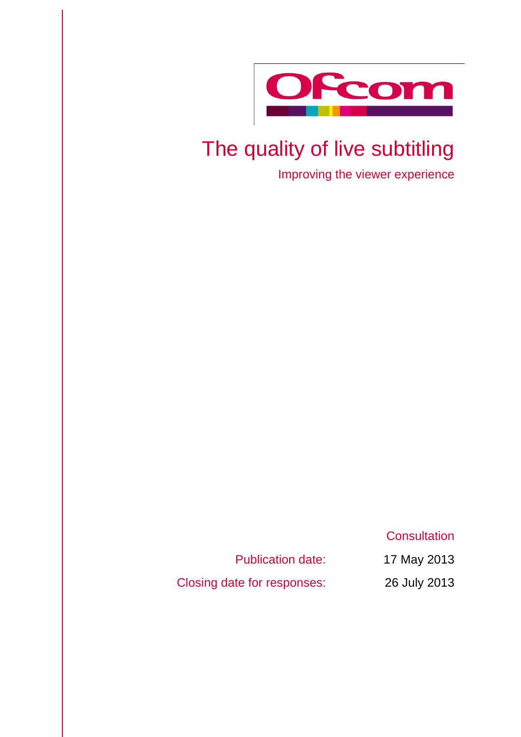

# The quality of live subtitling

Improving the viewer experience

**Consultation** 

Publication date: 17 May 2013

Closing date for responses: 26 July 2013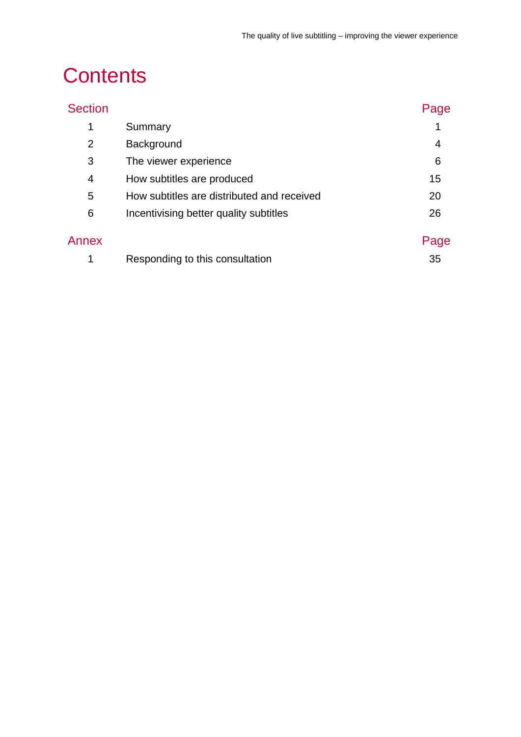# **Contents**

| <b>Section</b> |                                            | Page |
|----------------|--------------------------------------------|------|
| 1              | Summary                                    |      |
| $\overline{2}$ | Background                                 | 4    |
| 3              | The viewer experience                      | 6    |
| 4              | How subtitles are produced                 | 15   |
| 5              | How subtitles are distributed and received | 20   |
| 6              | Incentivising better quality subtitles     | 26   |
| Annex          |                                            | Page |
|                | Responding to this consultation            | 35   |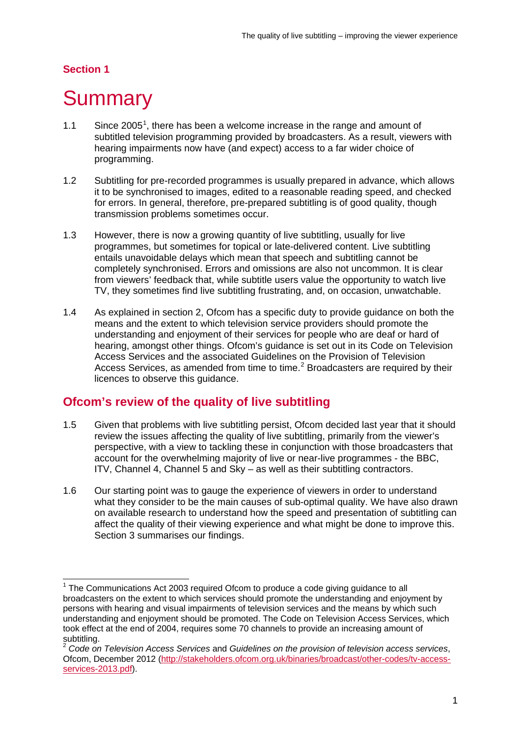# **Section 1**

# <span id="page-3-0"></span>**Summary**

- [1](#page-3-1).1 Since  $2005<sup>1</sup>$ , there has been a welcome increase in the range and amount of subtitled television programming provided by broadcasters. As a result, viewers with hearing impairments now have (and expect) access to a far wider choice of programming.
- 1.2 Subtitling for pre-recorded programmes is usually prepared in advance, which allows it to be synchronised to images, edited to a reasonable reading speed, and checked for errors. In general, therefore, pre-prepared subtitling is of good quality, though transmission problems sometimes occur.
- 1.3 However, there is now a growing quantity of live subtitling, usually for live programmes, but sometimes for topical or late-delivered content. Live subtitling entails unavoidable delays which mean that speech and subtitling cannot be completely synchronised. Errors and omissions are also not uncommon. It is clear from viewers' feedback that, while subtitle users value the opportunity to watch live TV, they sometimes find live subtitling frustrating, and, on occasion, unwatchable.
- 1.4 As explained in section 2, Ofcom has a specific duty to provide guidance on both the means and the extent to which television service providers should promote the understanding and enjoyment of their services for people who are deaf or hard of hearing, amongst other things. Ofcom's guidance is set out in its Code on Television Access Services and the associated Guidelines on the Provision of Television Access Services, as amended from time to time.<sup>[2](#page-3-2)</sup> Broadcasters are required by their licences to observe this guidance.

# **Ofcom's review of the quality of live subtitling**

- 1.5 Given that problems with live subtitling persist, Ofcom decided last year that it should review the issues affecting the quality of live subtitling, primarily from the viewer's perspective, with a view to tackling these in conjunction with those broadcasters that account for the overwhelming majority of live or near-live programmes - the BBC, ITV, Channel 4, Channel 5 and Sky – as well as their subtitling contractors.
- 1.6 Our starting point was to gauge the experience of viewers in order to understand what they consider to be the main causes of sub-optimal quality. We have also drawn on available research to understand how the speed and presentation of subtitling can affect the quality of their viewing experience and what might be done to improve this. Section 3 summarises our findings.

<span id="page-3-1"></span> $1$  The Communications Act 2003 required Ofcom to produce a code giving guidance to all broadcasters on the extent to which services should promote the understanding and enjoyment by persons with hearing and visual impairments of television services and the means by which such understanding and enjoyment should be promoted. The Code on Television Access Services, which took effect at the end of 2004, requires some 70 channels to provide an increasing amount of subtitling.

<span id="page-3-2"></span><sup>2</sup> *Code on Television Access Services* and *Guidelines on the provision of television access services*, Ofcom, December 2012 [\(http://stakeholders.ofcom.org.uk/binaries/broadcast/other-codes/tv-access](http://stakeholders.ofcom.org.uk/binaries/broadcast/other-codes/tv-access-services-2013.pdf)[services-2013.pdf\)](http://stakeholders.ofcom.org.uk/binaries/broadcast/other-codes/tv-access-services-2013.pdf).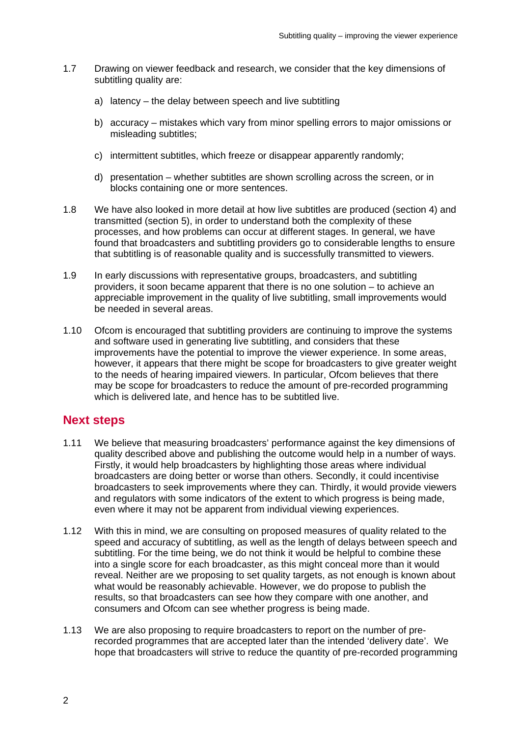- 1.7 Drawing on viewer feedback and research, we consider that the key dimensions of subtitling quality are:
	- a) latency the delay between speech and live subtitling
	- b) accuracy mistakes which vary from minor spelling errors to major omissions or misleading subtitles;
	- c) intermittent subtitles, which freeze or disappear apparently randomly;
	- d) presentation whether subtitles are shown scrolling across the screen, or in blocks containing one or more sentences.
- 1.8 We have also looked in more detail at how live subtitles are produced (section 4) and transmitted (section 5), in order to understand both the complexity of these processes, and how problems can occur at different stages. In general, we have found that broadcasters and subtitling providers go to considerable lengths to ensure that subtitling is of reasonable quality and is successfully transmitted to viewers.
- 1.9 In early discussions with representative groups, broadcasters, and subtitling providers, it soon became apparent that there is no one solution – to achieve an appreciable improvement in the quality of live subtitling, small improvements would be needed in several areas.
- 1.10 Ofcom is encouraged that subtitling providers are continuing to improve the systems and software used in generating live subtitling, and considers that these improvements have the potential to improve the viewer experience. In some areas, however, it appears that there might be scope for broadcasters to give greater weight to the needs of hearing impaired viewers. In particular, Ofcom believes that there may be scope for broadcasters to reduce the amount of pre-recorded programming which is delivered late, and hence has to be subtitled live.

# **Next steps**

- 1.11 We believe that measuring broadcasters' performance against the key dimensions of quality described above and publishing the outcome would help in a number of ways. Firstly, it would help broadcasters by highlighting those areas where individual broadcasters are doing better or worse than others. Secondly, it could incentivise broadcasters to seek improvements where they can. Thirdly, it would provide viewers and regulators with some indicators of the extent to which progress is being made, even where it may not be apparent from individual viewing experiences.
- 1.12 With this in mind, we are consulting on proposed measures of quality related to the speed and accuracy of subtitling, as well as the length of delays between speech and subtitling. For the time being, we do not think it would be helpful to combine these into a single score for each broadcaster, as this might conceal more than it would reveal. Neither are we proposing to set quality targets, as not enough is known about what would be reasonably achievable. However, we do propose to publish the results, so that broadcasters can see how they compare with one another, and consumers and Ofcom can see whether progress is being made.
- 1.13 We are also proposing to require broadcasters to report on the number of prerecorded programmes that are accepted later than the intended 'delivery date'. We hope that broadcasters will strive to reduce the quantity of pre-recorded programming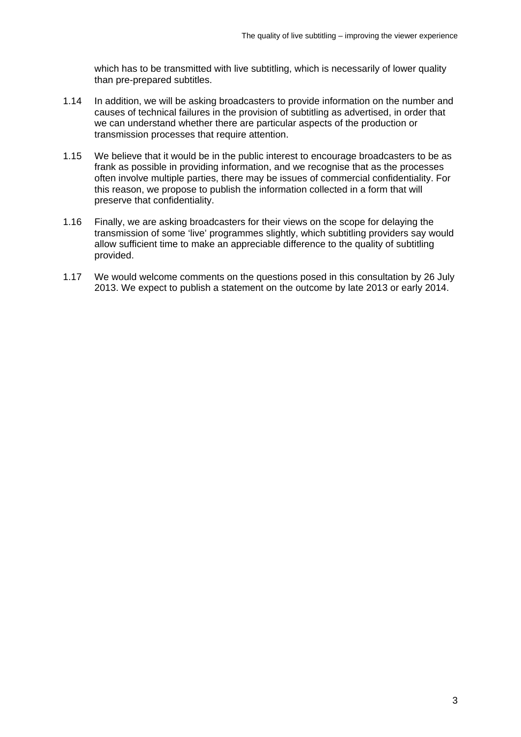which has to be transmitted with live subtitling, which is necessarily of lower quality than pre-prepared subtitles.

- 1.14 In addition, we will be asking broadcasters to provide information on the number and causes of technical failures in the provision of subtitling as advertised, in order that we can understand whether there are particular aspects of the production or transmission processes that require attention.
- 1.15 We believe that it would be in the public interest to encourage broadcasters to be as frank as possible in providing information, and we recognise that as the processes often involve multiple parties, there may be issues of commercial confidentiality. For this reason, we propose to publish the information collected in a form that will preserve that confidentiality.
- 1.16 Finally, we are asking broadcasters for their views on the scope for delaying the transmission of some 'live' programmes slightly, which subtitling providers say would allow sufficient time to make an appreciable difference to the quality of subtitling provided.
- 1.17 We would welcome comments on the questions posed in this consultation by 26 July 2013. We expect to publish a statement on the outcome by late 2013 or early 2014.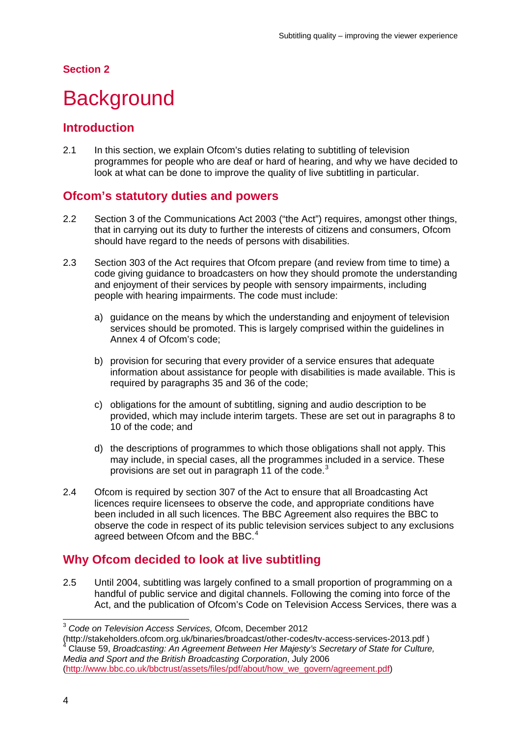#### **Section 2**

# <span id="page-6-0"></span>**Background**

## **Introduction**

2.1 In this section, we explain Ofcom's duties relating to subtitling of television programmes for people who are deaf or hard of hearing, and why we have decided to look at what can be done to improve the quality of live subtitling in particular.

# **Ofcom's statutory duties and powers**

- 2.2 Section 3 of the Communications Act 2003 ("the Act") requires, amongst other things, that in carrying out its duty to further the interests of citizens and consumers, Ofcom should have regard to the needs of persons with disabilities.
- 2.3 Section 303 of the Act requires that Ofcom prepare (and review from time to time) a code giving guidance to broadcasters on how they should promote the understanding and enjoyment of their services by people with sensory impairments, including people with hearing impairments. The code must include:
	- a) guidance on the means by which the understanding and enjoyment of television services should be promoted. This is largely comprised within the guidelines in Annex 4 of Ofcom's code;
	- b) provision for securing that every provider of a service ensures that adequate information about assistance for people with disabilities is made available. This is required by paragraphs 35 and 36 of the code;
	- c) obligations for the amount of subtitling, signing and audio description to be provided, which may include interim targets. These are set out in paragraphs 8 to 10 of the code; and
	- d) the descriptions of programmes to which those obligations shall not apply. This may include, in special cases, all the programmes included in a service. These provisions are set out in paragraph 11 of the code.<sup>[3](#page-6-1)</sup>
- 2.4 Ofcom is required by section 307 of the Act to ensure that all Broadcasting Act licences require licensees to observe the code, and appropriate conditions have been included in all such licences. The BBC Agreement also requires the BBC to observe the code in respect of its public television services subject to any exclusions agreed between Ofcom and the BBC.<sup>[4](#page-6-2)</sup>

# **Why Ofcom decided to look at live subtitling**

2.5 Until 2004, subtitling was largely confined to a small proportion of programming on a handful of public service and digital channels. Following the coming into force of the Act, and the publication of Ofcom's Code on Television Access Services, there was a

 <sup>3</sup> *Code on Television Access Services,* Ofcom, December 2012

<span id="page-6-1"></span><sup>(</sup>http://stakeholders.ofcom.org.uk/binaries/broadcast/other-codes/tv-access-services-2013.pdf ) 4 Clause 59, *Broadcasting: An Agreement Between Her Majesty's Secretary of State for Culture,* 

<span id="page-6-2"></span>*Media and Sport and the British Broadcasting Corporation*, July 2006 [\(http://www.bbc.co.uk/bbctrust/assets/files/pdf/about/how\\_we\\_govern/agreement.pdf\)](http://www.bbc.co.uk/bbctrust/assets/files/pdf/about/how_we_govern/agreement.pdf)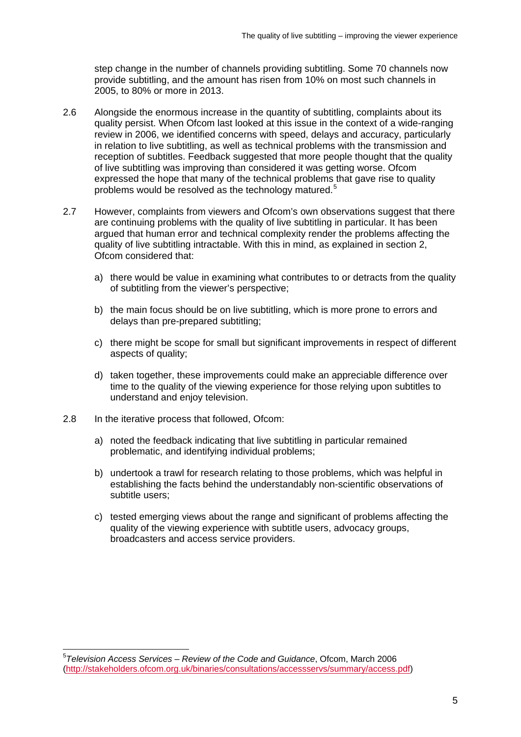step change in the number of channels providing subtitling. Some 70 channels now provide subtitling, and the amount has risen from 10% on most such channels in 2005, to 80% or more in 2013.

- 2.6 Alongside the enormous increase in the quantity of subtitling, complaints about its quality persist. When Ofcom last looked at this issue in the context of a wide-ranging review in 2006, we identified concerns with speed, delays and accuracy, particularly in relation to live subtitling, as well as technical problems with the transmission and reception of subtitles. Feedback suggested that more people thought that the quality of live subtitling was improving than considered it was getting worse. Ofcom expressed the hope that many of the technical problems that gave rise to quality problems would be resolved as the technology matured.<sup>[5](#page-7-0)</sup>
- 2.7 However, complaints from viewers and Ofcom's own observations suggest that there are continuing problems with the quality of live subtitling in particular. It has been argued that human error and technical complexity render the problems affecting the quality of live subtitling intractable. With this in mind, as explained in section 2, Ofcom considered that:
	- a) there would be value in examining what contributes to or detracts from the quality of subtitling from the viewer's perspective;
	- b) the main focus should be on live subtitling, which is more prone to errors and delays than pre-prepared subtitling;
	- c) there might be scope for small but significant improvements in respect of different aspects of quality;
	- d) taken together, these improvements could make an appreciable difference over time to the quality of the viewing experience for those relying upon subtitles to understand and enjoy television.
- 2.8 In the iterative process that followed, Ofcom:
	- a) noted the feedback indicating that live subtitling in particular remained problematic, and identifying individual problems;
	- b) undertook a trawl for research relating to those problems, which was helpful in establishing the facts behind the understandably non-scientific observations of subtitle users;
	- c) tested emerging views about the range and significant of problems affecting the quality of the viewing experience with subtitle users, advocacy groups, broadcasters and access service providers.

<span id="page-7-0"></span> <sup>5</sup> *Television Access Services – Review of the Code and Guidance*, Ofcom, March 2006 [\(http://stakeholders.ofcom.org.uk/binaries/consultations/accessservs/summary/access.pdf\)](http://stakeholders.ofcom.org.uk/binaries/consultations/accessservs/summary/access.pdf)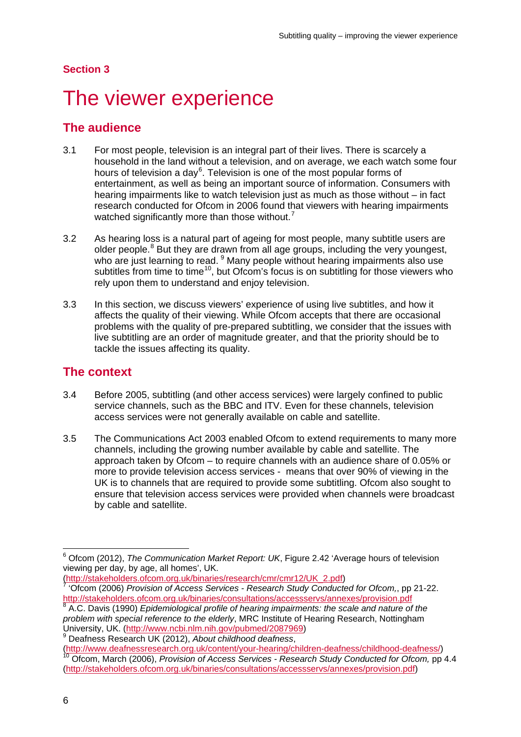#### **Section 3**

# <span id="page-8-0"></span>The viewer experience

## **The audience**

- 3.1 For most people, television is an integral part of their lives. There is scarcely a household in the land without a television, and on average, we each watch some four hours of television a day<sup>[6](#page-8-1)</sup>. Television is one of the most popular forms of entertainment, as well as being an important source of information. Consumers with hearing impairments like to watch television just as much as those without – in fact research conducted for Ofcom in 2006 found that viewers with hearing impairments watched significantly more than those without.<sup>[7](#page-8-2)</sup>
- 3.2 As hearing loss is a natural part of ageing for most people, many subtitle users are older people. $8$  But they are drawn from all age groups, including the very youngest, who are just learning to read. <sup>[9](#page-8-4)</sup> Many people without hearing impairments also use subtitles from time to time<sup>10</sup>, but Ofcom's focus is on subtitling for those viewers who rely upon them to understand and enjoy television.
- 3.3 In this section, we discuss viewers' experience of using live subtitles, and how it affects the quality of their viewing. While Ofcom accepts that there are occasional problems with the quality of pre-prepared subtitling, we consider that the issues with live subtitling are an order of magnitude greater, and that the priority should be to tackle the issues affecting its quality.

### **The context**

- 3.4 Before 2005, subtitling (and other access services) were largely confined to public service channels, such as the BBC and ITV. Even for these channels, television access services were not generally available on cable and satellite.
- 3.5 The Communications Act 2003 enabled Ofcom to extend requirements to many more channels, including the growing number available by cable and satellite. The approach taken by Ofcom – to require channels with an audience share of 0.05% or more to provide television access services - means that over 90% of viewing in the UK is to channels that are required to provide some subtitling. Ofcom also sought to ensure that television access services were provided when channels were broadcast by cable and satellite.

<span id="page-8-4"></span>

<span id="page-8-1"></span> <sup>6</sup> Ofcom (2012), *The Communication Market Report: UK*, Figure 2.42 'Average hours of television viewing per day, by age, all homes', UK.<br>(http://stakeholders.ofcom.org.uk/binaries/research/cmr/cmr12/UK\_2.pdf)

<span id="page-8-2"></span><sup>&#</sup>x27;Ofcom (2006) *Provision of Access Services - Research Study Conducted for Ofcom*,, pp 21-22. <http://stakeholders.ofcom.org.uk/binaries/consultations/accessservs/annexes/provision.pdf><br>8.A.C. Davis (4000). Entry the minimum superior of the minimum state of the minimum state of the minimum state

<span id="page-8-3"></span><sup>8</sup> A.C. Davis (1990) *Epidemiological profile of hearing impairments: the scale and nature of the problem with special reference to the elderly*, MRC Institute of Hearing Research, Nottingham University, UK. [\(http://www.ncbi.nlm.nih.gov/pubmed/2087969\)](http://www.ncbi.nlm.nih.gov/pubmed/2087969) 9 Deafness Research UK (2012), *About childhood deafness*,

<span id="page-8-5"></span>[<sup>\(</sup>http://www.deafnessresearch.org.uk/content/your-hearing/children-deafness/childhood-deafness/\)](http://www.deafnessresearch.org.uk/content/your-hearing/children-deafness/childhood-deafness/) <sup>10</sup> Ofcom, March (2006), *Provision of Access Services - Research Study Conducted for Ofcom,* pp 4.4 [\(http://stakeholders.ofcom.org.uk/binaries/consultations/accessservs/annexes/provision.pdf\)](http://stakeholders.ofcom.org.uk/binaries/consultations/accessservs/annexes/provision.pdf)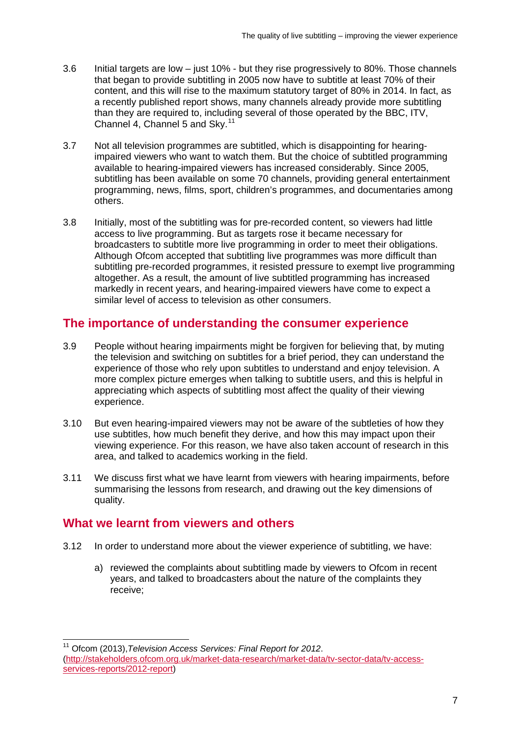- 3.6 Initial targets are low just 10% but they rise progressively to 80%. Those channels that began to provide subtitling in 2005 now have to subtitle at least 70% of their content, and this will rise to the maximum statutory target of 80% in 2014. In fact, as a recently published report shows, many channels already provide more subtitling than they are required to, including several of those operated by the BBC, ITV, Channel 4, Channel 5 and Sky.[11](#page-9-0)
- 3.7 Not all television programmes are subtitled, which is disappointing for hearingimpaired viewers who want to watch them. But the choice of subtitled programming available to hearing-impaired viewers has increased considerably. Since 2005, subtitling has been available on some 70 channels, providing general entertainment programming, news, films, sport, children's programmes, and documentaries among others.
- 3.8 Initially, most of the subtitling was for pre-recorded content, so viewers had little access to live programming. But as targets rose it became necessary for broadcasters to subtitle more live programming in order to meet their obligations. Although Ofcom accepted that subtitling live programmes was more difficult than subtitling pre-recorded programmes, it resisted pressure to exempt live programming altogether. As a result, the amount of live subtitled programming has increased markedly in recent years, and hearing-impaired viewers have come to expect a similar level of access to television as other consumers.

## **The importance of understanding the consumer experience**

- 3.9 People without hearing impairments might be forgiven for believing that, by muting the television and switching on subtitles for a brief period, they can understand the experience of those who rely upon subtitles to understand and enjoy television. A more complex picture emerges when talking to subtitle users, and this is helpful in appreciating which aspects of subtitling most affect the quality of their viewing experience.
- 3.10 But even hearing-impaired viewers may not be aware of the subtleties of how they use subtitles, how much benefit they derive, and how this may impact upon their viewing experience. For this reason, we have also taken account of research in this area, and talked to academics working in the field.
- 3.11 We discuss first what we have learnt from viewers with hearing impairments, before summarising the lessons from research, and drawing out the key dimensions of quality.

### **What we learnt from viewers and others**

- 3.12 In order to understand more about the viewer experience of subtitling, we have:
	- a) reviewed the complaints about subtitling made by viewers to Ofcom in recent years, and talked to broadcasters about the nature of the complaints they receive;

<span id="page-9-0"></span> <sup>11</sup> Ofcom (2013),*Television Access Services: Final Report for 2012*. [\(http://stakeholders.ofcom.org.uk/market-data-research/market-data/tv-sector-data/tv-access](http://stakeholders.ofcom.org.uk/market-data-research/market-data/tv-sector-data/tv-access-services-reports/2012-report)[services-reports/2012-report\)](http://stakeholders.ofcom.org.uk/market-data-research/market-data/tv-sector-data/tv-access-services-reports/2012-report)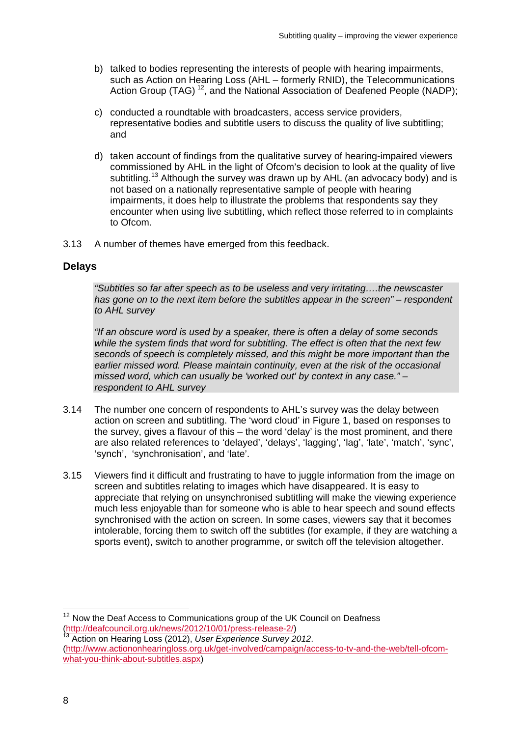- b) talked to bodies representing the interests of people with hearing impairments, such as Action on Hearing Loss (AHL – formerly RNID), the Telecommunications Action Group (TAG) <sup>[12](#page-10-0)</sup>, and the National Association of Deafened People (NADP);
- c) conducted a roundtable with broadcasters, access service providers, representative bodies and subtitle users to discuss the quality of live subtitling; and
- d) taken account of findings from the qualitative survey of hearing-impaired viewers commissioned by AHL in the light of Ofcom's decision to look at the quality of live subtitling.<sup>[13](#page-10-1)</sup> Although the survey was drawn up by AHL (an advocacy body) and is not based on a nationally representative sample of people with hearing impairments, it does help to illustrate the problems that respondents say they encounter when using live subtitling, which reflect those referred to in complaints to Ofcom.
- 3.13 A number of themes have emerged from this feedback.

#### **Delays**

*"Subtitles so far after speech as to be useless and very irritating….the newscaster has gone on to the next item before the subtitles appear in the screen" – respondent to AHL survey*

*"If an obscure word is used by a speaker, there is often a delay of some seconds while the system finds that word for subtitling. The effect is often that the next few seconds of speech is completely missed, and this might be more important than the*  earlier missed word. Please maintain continuity, even at the risk of the occasional *missed word, which can usually be 'worked out' by context in any case." – respondent to AHL survey*

- 3.14 The number one concern of respondents to AHL's survey was the delay between action on screen and subtitling. The 'word cloud' in Figure 1, based on responses to the survey, gives a flavour of this – the word 'delay' is the most prominent, and there are also related references to 'delayed', 'delays', 'lagging', 'lag', 'late', 'match', 'sync', 'synch', 'synchronisation', and 'late'.
- 3.15 Viewers find it difficult and frustrating to have to juggle information from the image on screen and subtitles relating to images which have disappeared. It is easy to appreciate that relying on unsynchronised subtitling will make the viewing experience much less enjoyable than for someone who is able to hear speech and sound effects synchronised with the action on screen. In some cases, viewers say that it becomes intolerable, forcing them to switch off the subtitles (for example, if they are watching a sports event), switch to another programme, or switch off the television altogether.

<span id="page-10-0"></span> $12$  Now the Deaf Access to Communications group of the UK Council on Deafness [\(http://deafcouncil.org.uk/news/2012/10/01/press-release-2/\)](http://deafcouncil.org.uk/news/2012/10/01/press-release-2/) <sup>13</sup> Action on Hearing Loss (2012), *User Experience Survey 2012*.

<span id="page-10-1"></span>[<sup>\(</sup>http://www.actiononhearingloss.org.uk/get-involved/campaign/access-to-tv-and-the-web/tell-ofcom](http://www.actiononhearingloss.org.uk/get-involved/campaign/access-to-tv-and-the-web/tell-ofcom-what-you-think-about-subtitles.aspx)[what-you-think-about-subtitles.aspx\)](http://www.actiononhearingloss.org.uk/get-involved/campaign/access-to-tv-and-the-web/tell-ofcom-what-you-think-about-subtitles.aspx)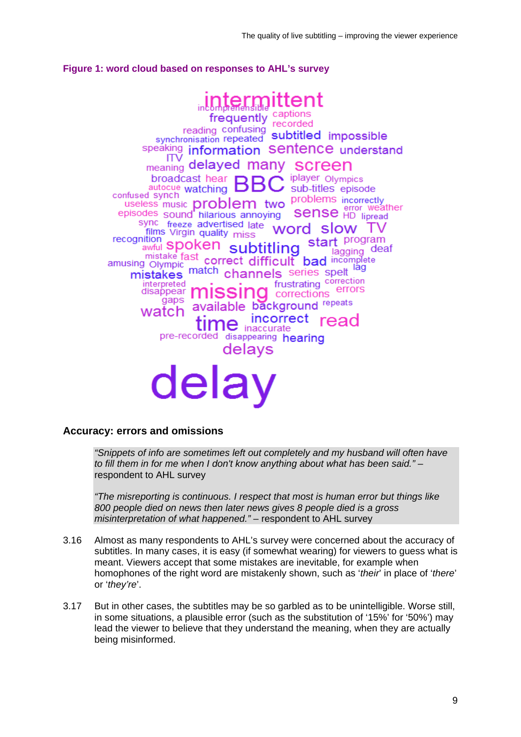#### **Figure 1: word cloud based on responses to AHL's survey**

**frequently** captions reading confusing recorded<br>synchronisation repeated subtitled impossible speaking information Sentence understand ITV meaning delayed many screen broadcast hear iplayer Olympics ь autocue watching sub-titles episode confused synch official synch watching  $\rightarrow$  5 districts opposed nconectry<br>error weather **Sense** HD lipread episodes sound hilarious annoying sync freeze advertised late word slow TV films Virgin quality miss recognition spoken subtitling start program  $\frac{1}{\text{lagging}}$  deaf mistake fast correct difficult bad incomplete amusing Olympic mig Olympic correct difficult bad monitoring<br>mistakes match channels series spelt frustrating correction interpreted errors disappear mıssınd corrections gaps available background repeats watch incorrect time incorre read pre-recorded disappearing hearing delavs delay

#### **Accuracy: errors and omissions**

*"Snippets of info are sometimes left out completely and my husband will often have to fill them in for me when I don't know anything about what has been said."* – respondent to AHL survey

*"The misreporting is continuous. I respect that most is human error but things like 800 people died on news then later news gives 8 people died is a gross misinterpretation of what happened."* – respondent to AHL survey

- 3.16 Almost as many respondents to AHL's survey were concerned about the accuracy of subtitles. In many cases, it is easy (if somewhat wearing) for viewers to guess what is meant. Viewers accept that some mistakes are inevitable, for example when homophones of the right word are mistakenly shown, such as '*their*' in place of '*there*' or '*they're*'.
- 3.17 But in other cases, the subtitles may be so garbled as to be unintelligible. Worse still, in some situations, a plausible error (such as the substitution of '15%' for '50%') may lead the viewer to believe that they understand the meaning, when they are actually being misinformed.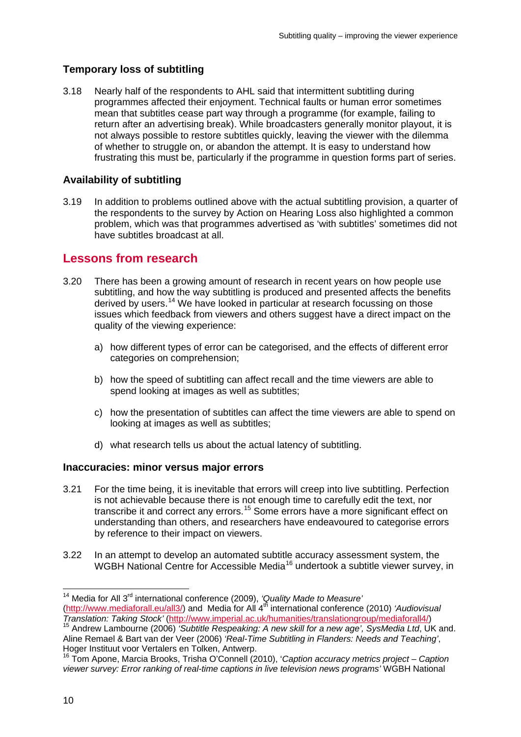## **Temporary loss of subtitling**

3.18 Nearly half of the respondents to AHL said that intermittent subtitling during programmes affected their enjoyment. Technical faults or human error sometimes mean that subtitles cease part way through a programme (for example, failing to return after an advertising break). While broadcasters generally monitor playout, it is not always possible to restore subtitles quickly, leaving the viewer with the dilemma of whether to struggle on, or abandon the attempt. It is easy to understand how frustrating this must be, particularly if the programme in question forms part of series.

### **Availability of subtitling**

3.19 In addition to problems outlined above with the actual subtitling provision, a quarter of the respondents to the survey by Action on Hearing Loss also highlighted a common problem, which was that programmes advertised as 'with subtitles' sometimes did not have subtitles broadcast at all.

# **Lessons from research**

- 3.20 There has been a growing amount of research in recent years on how people use subtitling, and how the way subtitling is produced and presented affects the benefits derived by users.<sup>[14](#page-12-0)</sup> We have looked in particular at research focussing on those issues which feedback from viewers and others suggest have a direct impact on the quality of the viewing experience:
	- a) how different types of error can be categorised, and the effects of different error categories on comprehension;
	- b) how the speed of subtitling can affect recall and the time viewers are able to spend looking at images as well as subtitles;
	- c) how the presentation of subtitles can affect the time viewers are able to spend on looking at images as well as subtitles;
	- d) what research tells us about the actual latency of subtitling.

#### **Inaccuracies: minor versus major errors**

- 3.21 For the time being, it is inevitable that errors will creep into live subtitling. Perfection is not achievable because there is not enough time to carefully edit the text, nor transcribe it and correct any errors.[15](#page-12-1) Some errors have a more significant effect on understanding than others, and researchers have endeavoured to categorise errors by reference to their impact on viewers.
- 3.22 In an attempt to develop an automated subtitle accuracy assessment system, the WGBH National Centre for Accessible Media<sup>[16](#page-12-2)</sup> undertook a subtitle viewer survey, in

<span id="page-12-0"></span> <sup>14</sup> Media for All 3rd international conference (2009), *'Quality Made to Measure'*

[<sup>\(</sup>http://www.mediaforall.eu/all3/\)](http://www.mediaforall.eu/all3/) and Media for All 4<sup>th</sup> international conference (2010) *'Audiovisual* 

<span id="page-12-1"></span><sup>&</sup>lt;sup>15</sup> Andrew Lambourne (2006) *'Subtitle Respeaking: A new skill for a new age', SysMedia Ltd*, UK and. Aline Remael & Bart van der Veer (2006) *'Real-Time Subtitling in Flanders: Needs and Teaching'*, Hoger Instituut voor Vertalers en Tolken, Antwerp.

<span id="page-12-2"></span><sup>16</sup> Tom Apone, Marcia Brooks, Trisha O'Connell (2010), '*Caption accuracy metrics project – Caption viewer survey: Error ranking of real-time captions in live television news programs'* WGBH National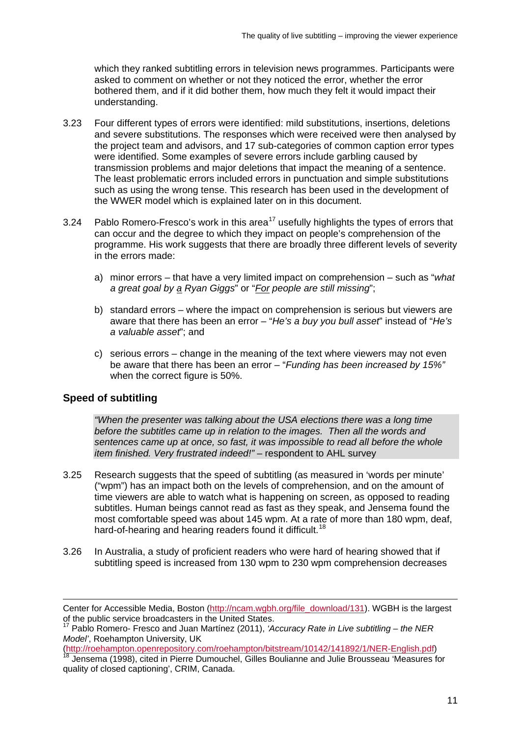which they ranked subtitling errors in television news programmes. Participants were asked to comment on whether or not they noticed the error, whether the error bothered them, and if it did bother them, how much they felt it would impact their understanding.

- 3.23 Four different types of errors were identified: mild substitutions, insertions, deletions and severe substitutions. The responses which were received were then analysed by the project team and advisors, and 17 sub-categories of common caption error types were identified. Some examples of severe errors include garbling caused by transmission problems and major deletions that impact the meaning of a sentence. The least problematic errors included errors in punctuation and simple substitutions such as using the wrong tense. This research has been used in the development of the WWER model which is explained later on in this document.
- 3.24 Pablo Romero-Fresco's work in this area<sup>[17](#page-13-0)</sup> usefully highlights the types of errors that can occur and the degree to which they impact on people's comprehension of the programme. His work suggests that there are broadly three different levels of severity in the errors made:
	- a) minor errors that have a very limited impact on comprehension such as "*what a great goal by a Ryan Giggs*" or "*For people are still missing*";
	- b) standard errors where the impact on comprehension is serious but viewers are aware that there has been an error – "*He's a buy you bull asset*" instead of "*He's a valuable asset*"; and
	- c) serious errors change in the meaning of the text where viewers may not even be aware that there has been an error – "*Funding has been increased by 15%"* when the correct figure is 50%.

#### **Speed of subtitling**

<u>.</u>

*"When the presenter was talking about the USA elections there was a long time before the subtitles came up in relation to the images. Then all the words and sentences came up at once, so fast, it was impossible to read all before the whole item finished. Very frustrated indeed!"* – respondent to AHL survey

- 3.25 Research suggests that the speed of subtitling (as measured in 'words per minute' ("wpm") has an impact both on the levels of comprehension, and on the amount of time viewers are able to watch what is happening on screen, as opposed to reading subtitles. Human beings cannot read as fast as they speak, and Jensema found the most comfortable speed was about 145 wpm. At a rate of more than 180 wpm, deaf, hard-of-hearing and hearing readers found it difficult.<sup>[18](#page-13-1)</sup>
- 3.26 In Australia, a study of proficient readers who were hard of hearing showed that if subtitling speed is increased from 130 wpm to 230 wpm comprehension decreases

Center for Accessible Media, Boston [\(http://ncam.wgbh.org/file\\_download/131\)](http://ncam.wgbh.org/file_download/131). WGBH is the largest of the public service broadcasters in the United States.

<span id="page-13-0"></span><sup>17</sup> Pablo Romero- Fresco and Juan Martínez (2011), *'Accuracy Rate in Live subtitling – the NER Model'*, Roehampton University, UK

<span id="page-13-1"></span>Jensema (1998), cited in Pierre Dumouchel, Gilles Boulianne and Julie Brousseau 'Measures for quality of closed captioning', CRIM, Canada.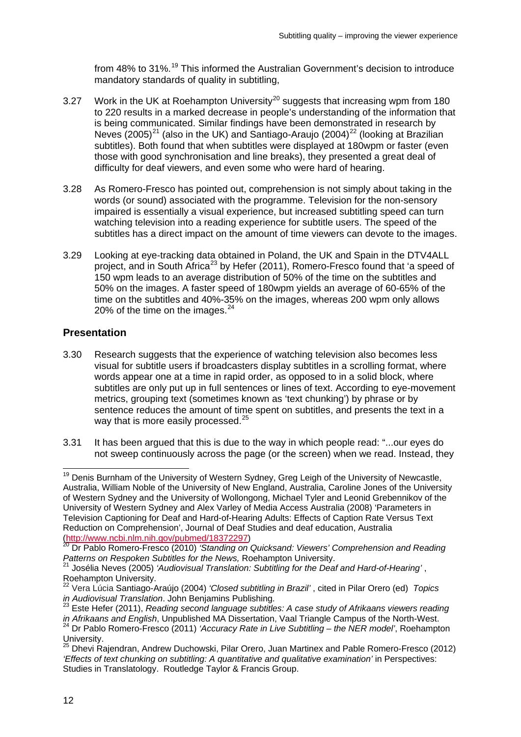from 48% to 31%.<sup>[19](#page-14-0)</sup> This informed the Australian Government's decision to introduce mandatory standards of quality in subtitling,

- 3.27 Work in the UK at Roehampton University<sup>[20](#page-14-1)</sup> suggests that increasing wpm from 180 to 220 results in a marked decrease in people's understanding of the information that is being communicated. Similar findings have been demonstrated in research by Neves  $(2005)^{21}$  $(2005)^{21}$  $(2005)^{21}$  (also in the UK) and Santiago-Araujo  $(2004)^{22}$  $(2004)^{22}$  $(2004)^{22}$  (looking at Brazilian subtitles). Both found that when subtitles were displayed at 180wpm or faster (even those with good synchronisation and line breaks), they presented a great deal of difficulty for deaf viewers, and even some who were hard of hearing.
- 3.28 As Romero-Fresco has pointed out, comprehension is not simply about taking in the words (or sound) associated with the programme. Television for the non-sensory impaired is essentially a visual experience, but increased subtitling speed can turn watching television into a reading experience for subtitle users. The speed of the subtitles has a direct impact on the amount of time viewers can devote to the images.
- 3.29 Looking at eye-tracking data obtained in Poland, the UK and Spain in the DTV4ALL project, and in South Africa<sup>[23](#page-14-4)</sup> by Hefer (2011), Romero-Fresco found that 'a speed of 150 wpm leads to an average distribution of 50% of the time on the subtitles and 50% on the images. A faster speed of 180wpm yields an average of 60-65% of the time on the subtitles and 40%-35% on the images, whereas 200 wpm only allows 20% of the time on the images. $^{24}$  $^{24}$  $^{24}$

#### **Presentation**

- 3.30 Research suggests that the experience of watching television also becomes less visual for subtitle users if broadcasters display subtitles in a scrolling format, where words appear one at a time in rapid order, as opposed to in a solid block, where subtitles are only put up in full sentences or lines of text. According to eye-movement metrics, grouping text (sometimes known as 'text chunking') by phrase or by sentence reduces the amount of time spent on subtitles, and presents the text in a way that is more easily processed.<sup>[25](#page-14-6)</sup>
- 3.31 It has been argued that this is due to the way in which people read: "...our eyes do not sweep continuously across the page (or the screen) when we read. Instead, they

<span id="page-14-0"></span><sup>&</sup>lt;sup>19</sup> Denis Burnham of the University of Western Sydney, Greg Leigh of the University of Newcastle, Australia, William Noble of the University of New England, Australia, Caroline Jones of the University of Western Sydney and the University of Wollongong, Michael Tyler and Leonid Grebennikov of the University of Western Sydney and Alex Varley of Media Access Australia (2008) 'Parameters in Television Captioning for Deaf and Hard-of-Hearing Adults: Effects of Caption Rate Versus Text Reduction on Comprehension', Journal of Deaf Studies and deaf education, Australia<br>(http://www.ncbi.nlm.nih.gov/pubmed/18372297)<br><sup>20</sup> Dr. Boble Bernare Frace: (2010) (2011)

<span id="page-14-1"></span>**Dr Pablo Romero-Fresco (2010)** *'Standing on Quicksand: Viewers' Comprehension and Reading Patterns on Respoken Subtitles for the News,* Roehampton University. <sup>21</sup> Josélia Neves (2005) *'Audiovisual Translation: Subtitling for the Deaf and Hard-of-Hearing'* ,

<span id="page-14-2"></span>Roehampton University.

<span id="page-14-3"></span><sup>22</sup> Vera Lúcia Santiago-Araújo (2004) *'Closed subtitling in Brazil'* , cited in Pilar Orero (ed) *Topics*

<span id="page-14-4"></span><sup>&</sup>lt;sup>23</sup> Este Hefer (2011), *Reading second language subtitles: A case study of Afrikaans viewers reading in Afrikaans and English*, Unpublished MA Dissertation, Vaal Triangle Campus of the North-West.

<span id="page-14-5"></span><sup>24</sup> Dr Pablo Romero-Fresco (2011) *'Accuracy Rate in Live Subtitling – the NER model'*, Roehampton University.

<span id="page-14-6"></span><sup>25</sup> Dhevi Rajendran, Andrew Duchowski, Pilar Orero, Juan Martinex and Pable Romero-Fresco (2012) *'Effects of text chunking on subtitling: A quantitative and qualitative examination'* in Perspectives: Studies in Translatology. Routledge Taylor & Francis Group.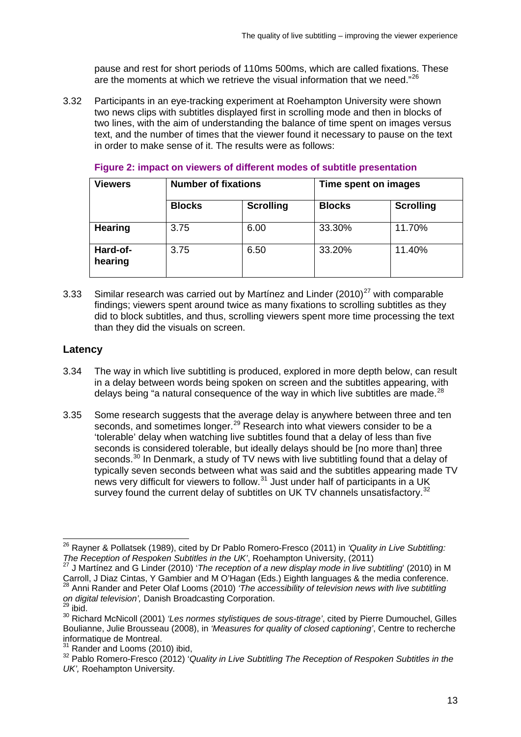pause and rest for short periods of 110ms 500ms, which are called fixations. These are the moments at which we retrieve the visual information that we need."<sup>[26](#page-15-0)</sup>

3.32 Participants in an eye-tracking experiment at Roehampton University were shown two news clips with subtitles displayed first in scrolling mode and then in blocks of two lines, with the aim of understanding the balance of time spent on images versus text, and the number of times that the viewer found it necessary to pause on the text in order to make sense of it. The results were as follows:

| <b>Viewers</b>      | <b>Number of fixations</b> |                  | Time spent on images |                  |
|---------------------|----------------------------|------------------|----------------------|------------------|
|                     | <b>Blocks</b>              | <b>Scrolling</b> | <b>Blocks</b>        | <b>Scrolling</b> |
| Hearing             | 3.75                       | 6.00             | 33.30%               | 11.70%           |
| Hard-of-<br>hearing | 3.75                       | 6.50             | 33.20%               | 11.40%           |

#### **Figure 2: impact on viewers of different modes of subtitle presentation**

3.33 Similar research was carried out by Martinez and Linder  $(2010)^{27}$  $(2010)^{27}$  $(2010)^{27}$  with comparable findings; viewers spent around twice as many fixations to scrolling subtitles as they did to block subtitles, and thus, scrolling viewers spent more time processing the text than they did the visuals on screen.

#### **Latency**

- 3.34 The way in which live subtitling is produced, explored in more depth below, can result in a delay between words being spoken on screen and the subtitles appearing, with delays being "a natural consequence of the way in which live subtitles are made. $^{28}$  $^{28}$  $^{28}$
- 3.35 Some research suggests that the average delay is anywhere between three and ten seconds, and sometimes longer.<sup>[29](#page-15-3)</sup> Research into what viewers consider to be a 'tolerable' delay when watching live subtitles found that a delay of less than five seconds is considered tolerable, but ideally delays should be [no more than] three seconds.<sup>[30](#page-15-4)</sup> In Denmark, a study of TV news with live subtitling found that a delay of typically seven seconds between what was said and the subtitles appearing made TV news very difficult for viewers to follow.<sup>[31](#page-15-5)</sup> Just under half of participants in a UK survey found the current delay of subtitles on UK TV channels unsatisfactory.<sup>[32](#page-15-6)</sup>

<span id="page-15-0"></span> <sup>26</sup> Rayner & Pollatsek (1989), cited by Dr Pablo Romero-Fresco (2011) in *'Quality in Live Subtitling: The Reception of Respoken Subtitles in the UK'*, Roehampton University, (2011) 27 J Martínez and G Linder (2010) '*The reception of a new display mode in live subtitling*' (2010) in M

<span id="page-15-2"></span><span id="page-15-1"></span>Carroll, J Diaz Cintas, Y Gambier and M O'Hagan (Eds.) Eighth languages & the media conference. <sup>28</sup> Anni Rander and Peter Olaf Looms (2010) *'The accessibility of television news with live subtitling* on digital television', Danish Broadcasting Corporation.<br><sup>29</sup> ibid.

<span id="page-15-4"></span><span id="page-15-3"></span><sup>30</sup> Richard McNicoll (2001) *'Les normes stylistiques de sous-titrage'*, cited by Pierre Dumouchel, Gilles Boulianne, Julie Brousseau (2008), in *'Measures for quality of closed captioning'*, Centre to recherche informatique de Montreal.<br><sup>31</sup> Rander and Looms (2010) ibid,

<span id="page-15-6"></span><span id="page-15-5"></span><sup>&</sup>lt;sup>32</sup> Pablo Romero-Fresco (2012) 'Quality in Live Subtitling The Reception of Respoken Subtitles in the *UK',* Roehampton University*.*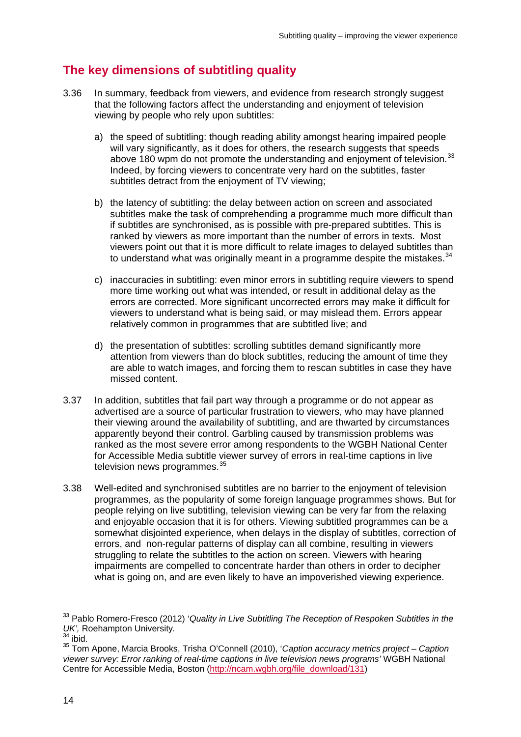# **The key dimensions of subtitling quality**

- 3.36 In summary, feedback from viewers, and evidence from research strongly suggest that the following factors affect the understanding and enjoyment of television viewing by people who rely upon subtitles:
	- a) the speed of subtitling: though reading ability amongst hearing impaired people will vary significantly, as it does for others, the research suggests that speeds above 180 wpm do not promote the understanding and enjoyment of television.<sup>[33](#page-16-0)</sup> Indeed, by forcing viewers to concentrate very hard on the subtitles, faster subtitles detract from the enjoyment of TV viewing;
	- b) the latency of subtitling: the delay between action on screen and associated subtitles make the task of comprehending a programme much more difficult than if subtitles are synchronised, as is possible with pre-prepared subtitles. This is ranked by viewers as more important than the number of errors in texts. Most viewers point out that it is more difficult to relate images to delayed subtitles than to understand what was originally meant in a programme despite the mistakes. $34$
	- c) inaccuracies in subtitling: even minor errors in subtitling require viewers to spend more time working out what was intended, or result in additional delay as the errors are corrected. More significant uncorrected errors may make it difficult for viewers to understand what is being said, or may mislead them. Errors appear relatively common in programmes that are subtitled live; and
	- d) the presentation of subtitles: scrolling subtitles demand significantly more attention from viewers than do block subtitles, reducing the amount of time they are able to watch images, and forcing them to rescan subtitles in case they have missed content.
- 3.37 In addition, subtitles that fail part way through a programme or do not appear as advertised are a source of particular frustration to viewers, who may have planned their viewing around the availability of subtitling, and are thwarted by circumstances apparently beyond their control. Garbling caused by transmission problems was ranked as the most severe error among respondents to the WGBH National Center for Accessible Media subtitle viewer survey of errors in real-time captions in live television news programmes.<sup>[35](#page-16-2)</sup>
- 3.38 Well-edited and synchronised subtitles are no barrier to the enjoyment of television programmes, as the popularity of some foreign language programmes shows. But for people relying on live subtitling, television viewing can be very far from the relaxing and enjoyable occasion that it is for others. Viewing subtitled programmes can be a somewhat disjointed experience, when delays in the display of subtitles, correction of errors, and non-regular patterns of display can all combine, resulting in viewers struggling to relate the subtitles to the action on screen. Viewers with hearing impairments are compelled to concentrate harder than others in order to decipher what is going on, and are even likely to have an impoverished viewing experience.

<span id="page-16-0"></span> <sup>33</sup> Pablo Romero-Fresco (2012) '*Quality in Live Subtitling The Reception of Respoken Subtitles in the UK'*, Roehampton University.<br><sup>34</sup> ibid

<span id="page-16-2"></span><span id="page-16-1"></span><sup>35</sup> Tom Apone, Marcia Brooks, Trisha O'Connell (2010), '*Caption accuracy metrics project – Caption viewer survey: Error ranking of real-time captions in live television news programs'* WGBH National Centre for Accessible Media, Boston [\(http://ncam.wgbh.org/file\\_download/131\)](http://ncam.wgbh.org/file_download/131)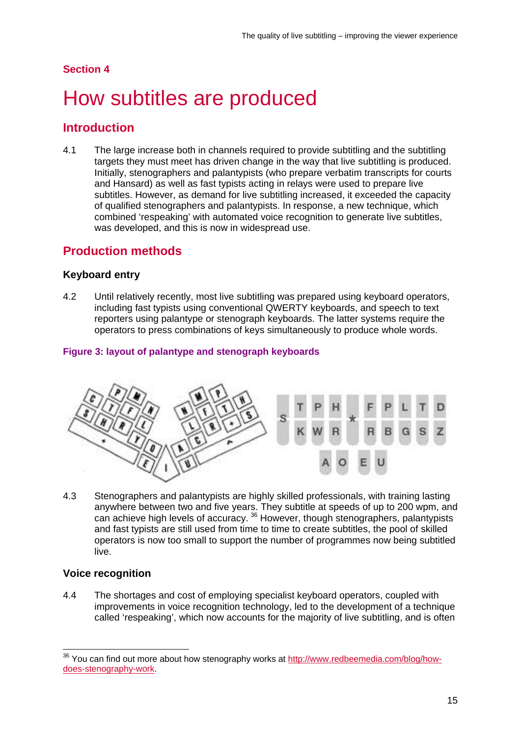#### **Section 4**

# <span id="page-17-0"></span>How subtitles are produced

## **Introduction**

4.1 The large increase both in channels required to provide subtitling and the subtitling targets they must meet has driven change in the way that live subtitling is produced. Initially, stenographers and palantypists (who prepare verbatim transcripts for courts and Hansard) as well as fast typists acting in relays were used to prepare live subtitles. However, as demand for live subtitling increased, it exceeded the capacity of qualified stenographers and palantypists. In response, a new technique, which combined 'respeaking' with automated voice recognition to generate live subtitles, was developed, and this is now in widespread use.

# **Production methods**

#### **Keyboard entry**

4.2 Until relatively recently, most live subtitling was prepared using keyboard operators, including fast typists using conventional QWERTY keyboards, and speech to text reporters using palantype or stenograph keyboards. The latter systems require the operators to press combinations of keys simultaneously to produce whole words.

#### **Figure 3: layout of palantype and stenograph keyboards**



4.3 Stenographers and palantypists are highly skilled professionals, with training lasting anywhere between two and five years. They subtitle at speeds of up to 200 wpm, and can achieve high levels of accuracy. <sup>[36](#page-17-1)</sup> However, though stenographers, palantypists and fast typists are still used from time to time to create subtitles, the pool of skilled operators is now too small to support the number of programmes now being subtitled live.

#### **Voice recognition**

4.4 The shortages and cost of employing specialist keyboard operators, coupled with improvements in voice recognition technology, led to the development of a technique called 'respeaking', which now accounts for the majority of live subtitling, and is often

<span id="page-17-1"></span><sup>&</sup>lt;sup>36</sup> You can find out more about how stenography works at [http://www.redbeemedia.com/blog/how](http://www.redbeemedia.com/blog/how-does-stenography-work)[does-stenography-work.](http://www.redbeemedia.com/blog/how-does-stenography-work)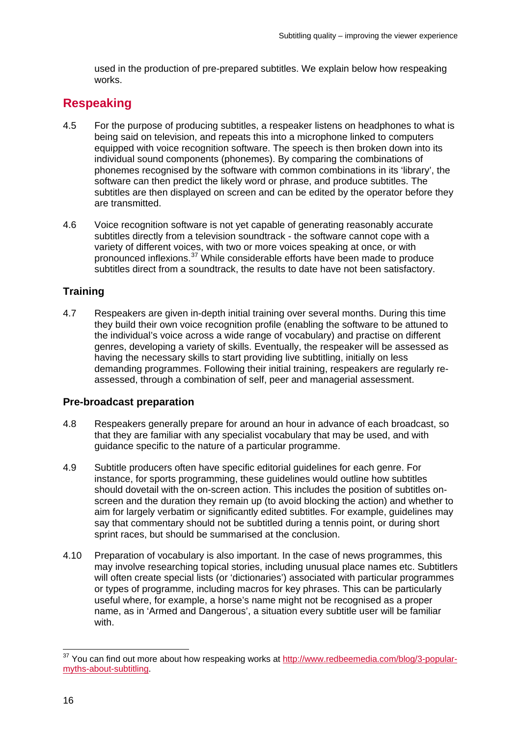used in the production of pre-prepared subtitles. We explain below how respeaking works.

# **Respeaking**

- 4.5 For the purpose of producing subtitles, a respeaker listens on headphones to what is being said on television, and repeats this into a microphone linked to computers equipped with voice recognition software. The speech is then broken down into its individual sound components (phonemes). By comparing the combinations of phonemes recognised by the software with common combinations in its 'library', the software can then predict the likely word or phrase, and produce subtitles. The subtitles are then displayed on screen and can be edited by the operator before they are transmitted.
- 4.6 Voice recognition software is not yet capable of generating reasonably accurate subtitles directly from a television soundtrack - the software cannot cope with a variety of different voices, with two or more voices speaking at once, or with pronounced inflexions.[37](#page-18-0) While considerable efforts have been made to produce subtitles direct from a soundtrack, the results to date have not been satisfactory.

## **Training**

4.7 Respeakers are given in-depth initial training over several months. During this time they build their own voice recognition profile (enabling the software to be attuned to the individual's voice across a wide range of vocabulary) and practise on different genres, developing a variety of skills. Eventually, the respeaker will be assessed as having the necessary skills to start providing live subtitling, initially on less demanding programmes. Following their initial training, respeakers are regularly reassessed, through a combination of self, peer and managerial assessment.

### **Pre-broadcast preparation**

- 4.8 Respeakers generally prepare for around an hour in advance of each broadcast, so that they are familiar with any specialist vocabulary that may be used, and with guidance specific to the nature of a particular programme.
- 4.9 Subtitle producers often have specific editorial guidelines for each genre. For instance, for sports programming, these guidelines would outline how subtitles should dovetail with the on-screen action. This includes the position of subtitles onscreen and the duration they remain up (to avoid blocking the action) and whether to aim for largely verbatim or significantly edited subtitles. For example, guidelines may say that commentary should not be subtitled during a tennis point, or during short sprint races, but should be summarised at the conclusion.
- 4.10 Preparation of vocabulary is also important. In the case of news programmes, this may involve researching topical stories, including unusual place names etc. Subtitlers will often create special lists (or 'dictionaries') associated with particular programmes or types of programme, including macros for key phrases. This can be particularly useful where, for example, a horse's name might not be recognised as a proper name, as in 'Armed and Dangerous', a situation every subtitle user will be familiar with.

<span id="page-18-0"></span><sup>&</sup>lt;sup>37</sup> You can find out more about how respeaking works at [http://www.redbeemedia.com/blog/3-popular](http://www.redbeemedia.com/blog/3-popular-myths-about-subtitling)[myths-about-subtitling.](http://www.redbeemedia.com/blog/3-popular-myths-about-subtitling)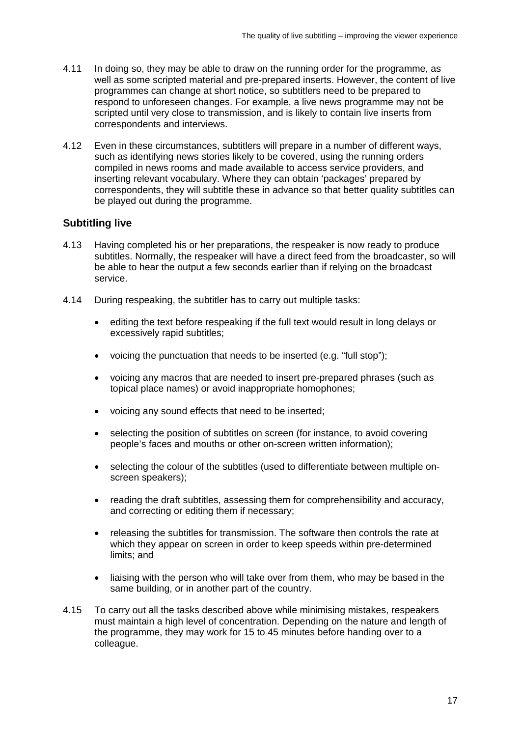- 4.11 In doing so, they may be able to draw on the running order for the programme, as well as some scripted material and pre-prepared inserts. However, the content of live programmes can change at short notice, so subtitlers need to be prepared to respond to unforeseen changes. For example, a live news programme may not be scripted until very close to transmission, and is likely to contain live inserts from correspondents and interviews.
- 4.12 Even in these circumstances, subtitlers will prepare in a number of different ways, such as identifying news stories likely to be covered, using the running orders compiled in news rooms and made available to access service providers, and inserting relevant vocabulary. Where they can obtain 'packages' prepared by correspondents, they will subtitle these in advance so that better quality subtitles can be played out during the programme.

#### **Subtitling live**

- 4.13 Having completed his or her preparations, the respeaker is now ready to produce subtitles. Normally, the respeaker will have a direct feed from the broadcaster, so will be able to hear the output a few seconds earlier than if relying on the broadcast service.
- 4.14 During respeaking, the subtitler has to carry out multiple tasks:
	- editing the text before respeaking if the full text would result in long delays or excessively rapid subtitles;
	- voicing the punctuation that needs to be inserted (e.g. "full stop");
	- voicing any macros that are needed to insert pre-prepared phrases (such as topical place names) or avoid inappropriate homophones;
	- voicing any sound effects that need to be inserted;
	- selecting the position of subtitles on screen (for instance, to avoid covering people's faces and mouths or other on-screen written information);
	- selecting the colour of the subtitles (used to differentiate between multiple onscreen speakers);
	- reading the draft subtitles, assessing them for comprehensibility and accuracy, and correcting or editing them if necessary;
	- releasing the subtitles for transmission. The software then controls the rate at which they appear on screen in order to keep speeds within pre-determined limits; and
	- liaising with the person who will take over from them, who may be based in the same building, or in another part of the country.
- 4.15 To carry out all the tasks described above while minimising mistakes, respeakers must maintain a high level of concentration. Depending on the nature and length of the programme, they may work for 15 to 45 minutes before handing over to a colleague.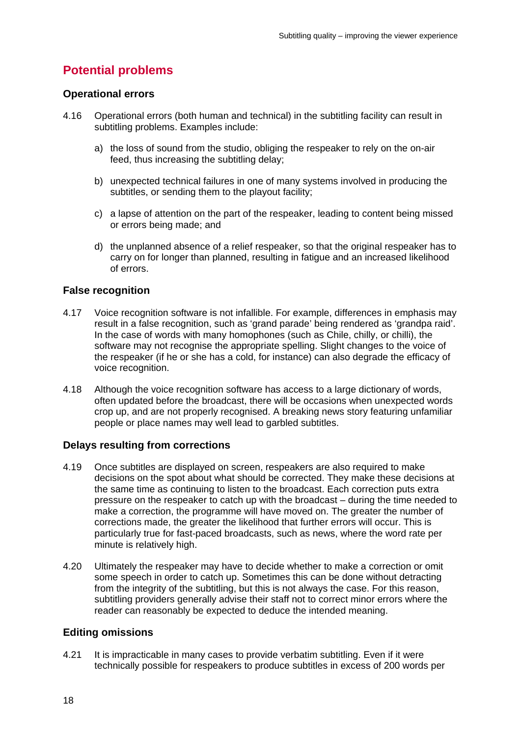# **Potential problems**

#### **Operational errors**

- 4.16 Operational errors (both human and technical) in the subtitling facility can result in subtitling problems. Examples include:
	- a) the loss of sound from the studio, obliging the respeaker to rely on the on-air feed, thus increasing the subtitling delay;
	- b) unexpected technical failures in one of many systems involved in producing the subtitles, or sending them to the playout facility;
	- c) a lapse of attention on the part of the respeaker, leading to content being missed or errors being made; and
	- d) the unplanned absence of a relief respeaker, so that the original respeaker has to carry on for longer than planned, resulting in fatigue and an increased likelihood of errors.

#### **False recognition**

- 4.17 Voice recognition software is not infallible. For example, differences in emphasis may result in a false recognition, such as 'grand parade' being rendered as 'grandpa raid'. In the case of words with many homophones (such as Chile, chilly, or chilli), the software may not recognise the appropriate spelling. Slight changes to the voice of the respeaker (if he or she has a cold, for instance) can also degrade the efficacy of voice recognition.
- 4.18 Although the voice recognition software has access to a large dictionary of words, often updated before the broadcast, there will be occasions when unexpected words crop up, and are not properly recognised. A breaking news story featuring unfamiliar people or place names may well lead to garbled subtitles.

#### **Delays resulting from corrections**

- 4.19 Once subtitles are displayed on screen, respeakers are also required to make decisions on the spot about what should be corrected. They make these decisions at the same time as continuing to listen to the broadcast. Each correction puts extra pressure on the respeaker to catch up with the broadcast – during the time needed to make a correction, the programme will have moved on. The greater the number of corrections made, the greater the likelihood that further errors will occur. This is particularly true for fast-paced broadcasts, such as news, where the word rate per minute is relatively high.
- 4.20 Ultimately the respeaker may have to decide whether to make a correction or omit some speech in order to catch up. Sometimes this can be done without detracting from the integrity of the subtitling, but this is not always the case. For this reason, subtitling providers generally advise their staff not to correct minor errors where the reader can reasonably be expected to deduce the intended meaning.

#### **Editing omissions**

4.21 It is impracticable in many cases to provide verbatim subtitling. Even if it were technically possible for respeakers to produce subtitles in excess of 200 words per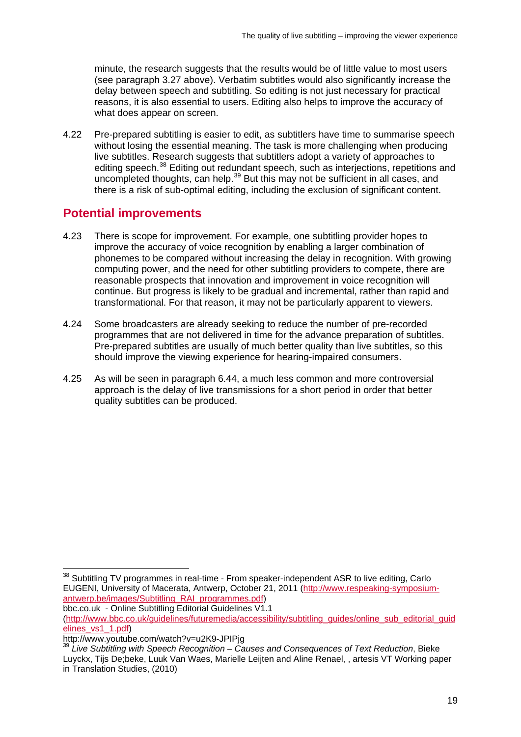minute, the research suggests that the results would be of little value to most users (see paragraph 3.27 above). Verbatim subtitles would also significantly increase the delay between speech and subtitling. So editing is not just necessary for practical reasons, it is also essential to users. Editing also helps to improve the accuracy of what does appear on screen.

4.22 Pre-prepared subtitling is easier to edit, as subtitlers have time to summarise speech without losing the essential meaning. The task is more challenging when producing live subtitles. Research suggests that subtitlers adopt a variety of approaches to editing speech.<sup>[38](#page-21-0)</sup> Editing out redundant speech, such as interjections, repetitions and uncompleted thoughts, can help.<sup>[39](#page-21-1)</sup> But this may not be sufficient in all cases, and there is a risk of sub-optimal editing, including the exclusion of significant content.

# **Potential improvements**

- 4.23 There is scope for improvement. For example, one subtitling provider hopes to improve the accuracy of voice recognition by enabling a larger combination of phonemes to be compared without increasing the delay in recognition. With growing computing power, and the need for other subtitling providers to compete, there are reasonable prospects that innovation and improvement in voice recognition will continue. But progress is likely to be gradual and incremental, rather than rapid and transformational. For that reason, it may not be particularly apparent to viewers.
- 4.24 Some broadcasters are already seeking to reduce the number of pre-recorded programmes that are not delivered in time for the advance preparation of subtitles. Pre-prepared subtitles are usually of much better quality than live subtitles, so this should improve the viewing experience for hearing-impaired consumers.
- 4.25 As will be seen in paragraph 6.44, a much less common and more controversial approach is the delay of live transmissions for a short period in order that better quality subtitles can be produced.

bbc.co.uk - Online Subtitling Editorial Guidelines V1.1

```
(http://www.bbc.co.uk/guidelines/futuremedia/accessibility/subtitling_guides/online_sub_editorial_guid
elines_vs1_1.pdf)<br>http://www.youtube.com/watch?v=u2K9-JPIPig
```
<span id="page-21-0"></span><sup>&</sup>lt;sup>38</sup> Subtitling TV programmes in real-time - From speaker-independent ASR to live editing, Carlo EUGENI, University of Macerata, Antwerp, October 21, 2011 [\(http://www.respeaking-symposium](http://www.respeaking-symposium-antwerp.be/images/Subtitling_RAI_programmes.pdf)[antwerp.be/images/Subtitling\\_RAI\\_programmes.pdf\)](http://www.respeaking-symposium-antwerp.be/images/Subtitling_RAI_programmes.pdf)

<span id="page-21-1"></span><sup>&</sup>lt;sup>39</sup> Live Subtitling with Speech Recognition – Causes and Consequences of Text Reduction, Bieke Luyckx, Tijs De;beke, Luuk Van Waes, Marielle Leijten and Aline Renael, , artesis VT Working paper in Translation Studies, (2010)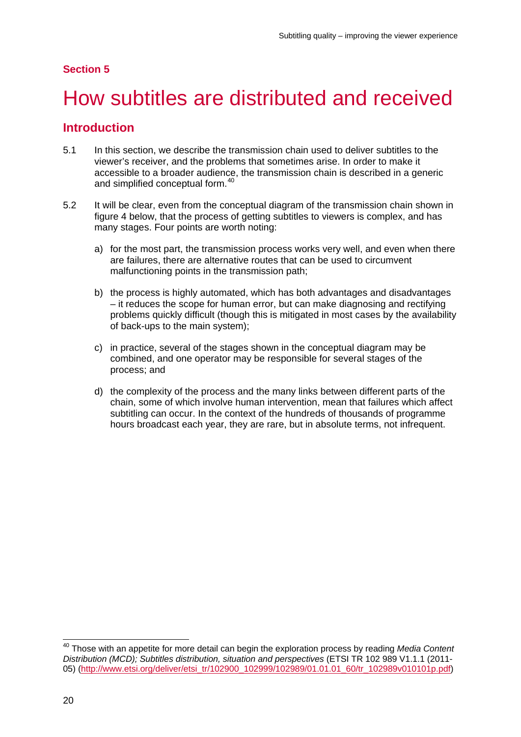#### **Section 5**

# <span id="page-22-0"></span>5 How subtitles are distributed and received

### **Introduction**

- 5.1 In this section, we describe the transmission chain used to deliver subtitles to the viewer's receiver, and the problems that sometimes arise. In order to make it accessible to a broader audience, the transmission chain is described in a generic and simplified conceptual form. [40](#page-22-1)
- 5.2 It will be clear, even from the conceptual diagram of the transmission chain shown in figure 4 below, that the process of getting subtitles to viewers is complex, and has many stages. Four points are worth noting:
	- a) for the most part, the transmission process works very well, and even when there are failures, there are alternative routes that can be used to circumvent malfunctioning points in the transmission path;
	- b) the process is highly automated, which has both advantages and disadvantages – it reduces the scope for human error, but can make diagnosing and rectifying problems quickly difficult (though this is mitigated in most cases by the availability of back-ups to the main system);
	- c) in practice, several of the stages shown in the conceptual diagram may be combined, and one operator may be responsible for several stages of the process; and
	- d) the complexity of the process and the many links between different parts of the chain, some of which involve human intervention, mean that failures which affect subtitling can occur. In the context of the hundreds of thousands of programme hours broadcast each year, they are rare, but in absolute terms, not infrequent.

<span id="page-22-1"></span> <sup>40</sup> Those with an appetite for more detail can begin the exploration process by reading *Media Content Distribution (MCD); Subtitles distribution, situation and perspectives* (ETSI TR 102 989 V1.1.1 (2011- 05) [\(http://www.etsi.org/deliver/etsi\\_tr/102900\\_102999/102989/01.01.01\\_60/tr\\_102989v010101p.pdf\)](http://www.etsi.org/deliver/etsi_tr/102900_102999/102989/01.01.01_60/tr_102989v010101p.pdf)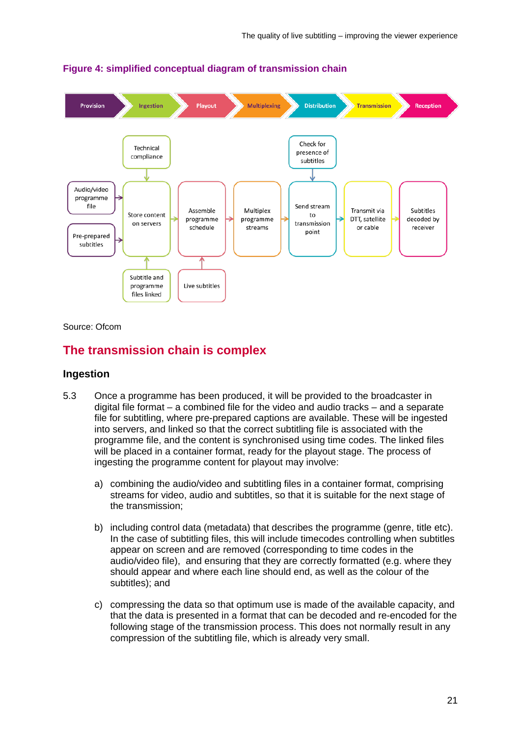

**Figure 4: simplified conceptual diagram of transmission chain**

Source: Ofcom

# **The transmission chain is complex**

#### **Ingestion**

- 5.3 Once a programme has been produced, it will be provided to the broadcaster in digital file format – a combined file for the video and audio tracks – and a separate file for subtitling, where pre-prepared captions are available. These will be ingested into servers, and linked so that the correct subtitling file is associated with the programme file, and the content is synchronised using time codes. The linked files will be placed in a container format, ready for the playout stage. The process of ingesting the programme content for playout may involve:
	- a) combining the audio/video and subtitling files in a container format, comprising streams for video, audio and subtitles, so that it is suitable for the next stage of the transmission;
	- b) including control data (metadata) that describes the programme (genre, title etc). In the case of subtitling files, this will include timecodes controlling when subtitles appear on screen and are removed (corresponding to time codes in the audio/video file), and ensuring that they are correctly formatted (e.g. where they should appear and where each line should end, as well as the colour of the subtitles); and
	- c) compressing the data so that optimum use is made of the available capacity, and that the data is presented in a format that can be decoded and re-encoded for the following stage of the transmission process. This does not normally result in any compression of the subtitling file, which is already very small.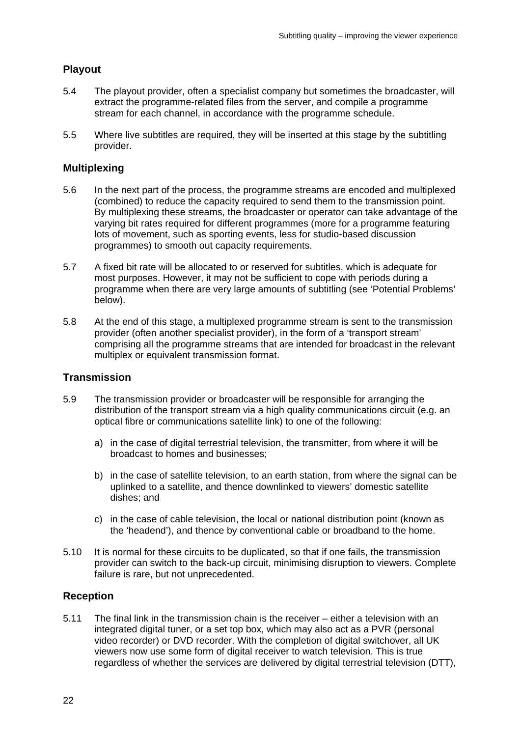#### **Playout**

- 5.4 The playout provider, often a specialist company but sometimes the broadcaster, will extract the programme-related files from the server, and compile a programme stream for each channel, in accordance with the programme schedule.
- 5.5 Where live subtitles are required, they will be inserted at this stage by the subtitling provider.

#### **Multiplexing**

- 5.6 In the next part of the process, the programme streams are encoded and multiplexed (combined) to reduce the capacity required to send them to the transmission point. By multiplexing these streams, the broadcaster or operator can take advantage of the varying bit rates required for different programmes (more for a programme featuring lots of movement, such as sporting events, less for studio-based discussion programmes) to smooth out capacity requirements.
- 5.7 A fixed bit rate will be allocated to or reserved for subtitles, which is adequate for most purposes. However, it may not be sufficient to cope with periods during a programme when there are very large amounts of subtitling (see 'Potential Problems' below).
- 5.8 At the end of this stage, a multiplexed programme stream is sent to the transmission provider (often another specialist provider), in the form of a 'transport stream' comprising all the programme streams that are intended for broadcast in the relevant multiplex or equivalent transmission format.

#### **Transmission**

- 5.9 The transmission provider or broadcaster will be responsible for arranging the distribution of the transport stream via a high quality communications circuit (e.g. an optical fibre or communications satellite link) to one of the following:
	- a) in the case of digital terrestrial television, the transmitter, from where it will be broadcast to homes and businesses;
	- b) in the case of satellite television, to an earth station, from where the signal can be uplinked to a satellite, and thence downlinked to viewers' domestic satellite dishes; and
	- c) in the case of cable television, the local or national distribution point (known as the 'headend'), and thence by conventional cable or broadband to the home.
- 5.10 It is normal for these circuits to be duplicated, so that if one fails, the transmission provider can switch to the back-up circuit, minimising disruption to viewers. Complete failure is rare, but not unprecedented.

#### **Reception**

5.11 The final link in the transmission chain is the receiver – either a television with an integrated digital tuner, or a set top box, which may also act as a PVR (personal video recorder) or DVD recorder. With the completion of digital switchover, all UK viewers now use some form of digital receiver to watch television. This is true regardless of whether the services are delivered by digital terrestrial television (DTT),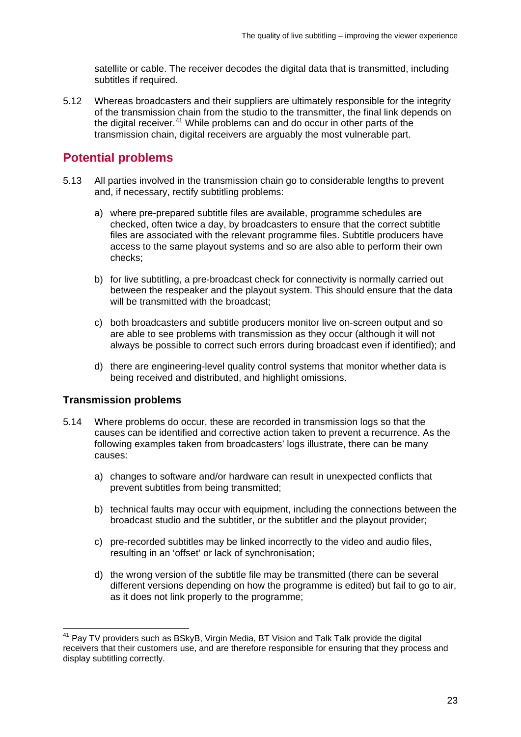satellite or cable. The receiver decodes the digital data that is transmitted, including subtitles if required.

5.12 Whereas broadcasters and their suppliers are ultimately responsible for the integrity of the transmission chain from the studio to the transmitter, the final link depends on the digital receiver.<sup>[41](#page-25-0)</sup> While problems can and do occur in other parts of the transmission chain, digital receivers are arguably the most vulnerable part.

# **Potential problems**

- 5.13 All parties involved in the transmission chain go to considerable lengths to prevent and, if necessary, rectify subtitling problems:
	- a) where pre-prepared subtitle files are available, programme schedules are checked, often twice a day, by broadcasters to ensure that the correct subtitle files are associated with the relevant programme files. Subtitle producers have access to the same playout systems and so are also able to perform their own checks;
	- b) for live subtitling, a pre-broadcast check for connectivity is normally carried out between the respeaker and the playout system. This should ensure that the data will be transmitted with the broadcast;
	- c) both broadcasters and subtitle producers monitor live on-screen output and so are able to see problems with transmission as they occur (although it will not always be possible to correct such errors during broadcast even if identified); and
	- d) there are engineering-level quality control systems that monitor whether data is being received and distributed, and highlight omissions.

#### **Transmission problems**

- 5.14 Where problems do occur, these are recorded in transmission logs so that the causes can be identified and corrective action taken to prevent a recurrence. As the following examples taken from broadcasters' logs illustrate, there can be many causes:
	- a) changes to software and/or hardware can result in unexpected conflicts that prevent subtitles from being transmitted;
	- b) technical faults may occur with equipment, including the connections between the broadcast studio and the subtitler, or the subtitler and the playout provider;
	- c) pre-recorded subtitles may be linked incorrectly to the video and audio files, resulting in an 'offset' or lack of synchronisation;
	- d) the wrong version of the subtitle file may be transmitted (there can be several different versions depending on how the programme is edited) but fail to go to air, as it does not link properly to the programme;

<span id="page-25-0"></span> $41$  Pay TV providers such as BSkyB, Virgin Media, BT Vision and Talk Talk provide the digital receivers that their customers use, and are therefore responsible for ensuring that they process and display subtitling correctly.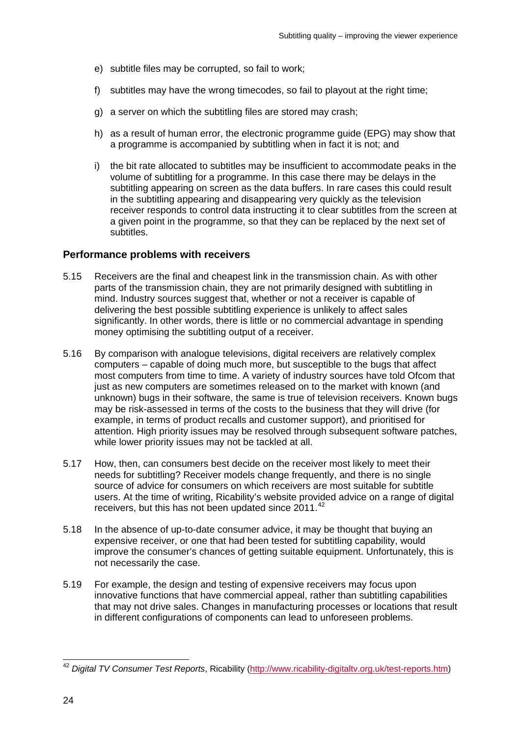- e) subtitle files may be corrupted, so fail to work;
- f) subtitles may have the wrong timecodes, so fail to playout at the right time;
- g) a server on which the subtitling files are stored may crash;
- h) as a result of human error, the electronic programme guide (EPG) may show that a programme is accompanied by subtitling when in fact it is not; and
- i) the bit rate allocated to subtitles may be insufficient to accommodate peaks in the volume of subtitling for a programme. In this case there may be delays in the subtitling appearing on screen as the data buffers. In rare cases this could result in the subtitling appearing and disappearing very quickly as the television receiver responds to control data instructing it to clear subtitles from the screen at a given point in the programme, so that they can be replaced by the next set of subtitles.

#### **Performance problems with receivers**

- 5.15 Receivers are the final and cheapest link in the transmission chain. As with other parts of the transmission chain, they are not primarily designed with subtitling in mind. Industry sources suggest that, whether or not a receiver is capable of delivering the best possible subtitling experience is unlikely to affect sales significantly. In other words, there is little or no commercial advantage in spending money optimising the subtitling output of a receiver.
- 5.16 By comparison with analogue televisions, digital receivers are relatively complex computers – capable of doing much more, but susceptible to the bugs that affect most computers from time to time. A variety of industry sources have told Ofcom that just as new computers are sometimes released on to the market with known (and unknown) bugs in their software, the same is true of television receivers. Known bugs may be risk-assessed in terms of the costs to the business that they will drive (for example, in terms of product recalls and customer support), and prioritised for attention. High priority issues may be resolved through subsequent software patches, while lower priority issues may not be tackled at all.
- 5.17 How, then, can consumers best decide on the receiver most likely to meet their needs for subtitling? Receiver models change frequently, and there is no single source of advice for consumers on which receivers are most suitable for subtitle users. At the time of writing, Ricability's website provided advice on a range of digital receivers, but this has not been updated since 2011.<sup>[42](#page-26-0)</sup>
- 5.18 In the absence of up-to-date consumer advice, it may be thought that buying an expensive receiver, or one that had been tested for subtitling capability, would improve the consumer's chances of getting suitable equipment. Unfortunately, this is not necessarily the case.
- 5.19 For example, the design and testing of expensive receivers may focus upon innovative functions that have commercial appeal, rather than subtitling capabilities that may not drive sales. Changes in manufacturing processes or locations that result in different configurations of components can lead to unforeseen problems.

<span id="page-26-0"></span> <sup>42</sup> *Digital TV Consumer Test Reports*, Ricability [\(http://www.ricability-digitaltv.org.uk/test-reports.htm\)](http://www.ricability-digitaltv.org.uk/test-reports.htm)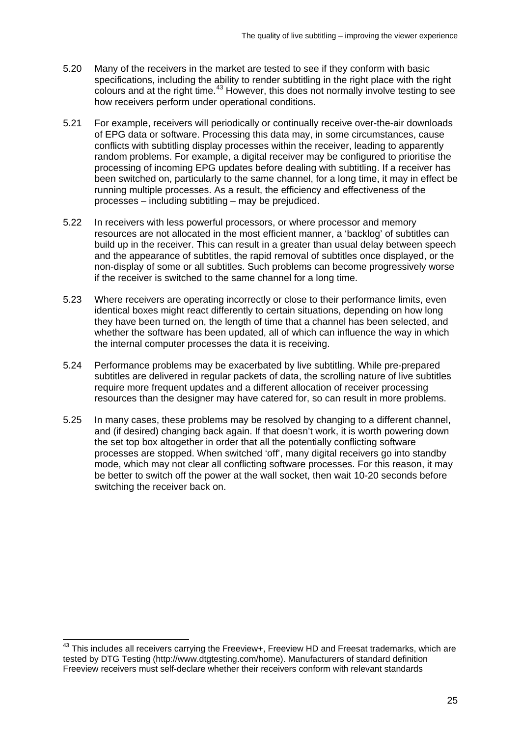- 5.20 Many of the receivers in the market are tested to see if they conform with basic specifications, including the ability to render subtitling in the right place with the right colours and at the right time.<sup>[43](#page-27-0)</sup> However, this does not normally involve testing to see how receivers perform under operational conditions.
- 5.21 For example, receivers will periodically or continually receive over-the-air downloads of EPG data or software. Processing this data may, in some circumstances, cause conflicts with subtitling display processes within the receiver, leading to apparently random problems. For example, a digital receiver may be configured to prioritise the processing of incoming EPG updates before dealing with subtitling. If a receiver has been switched on, particularly to the same channel, for a long time, it may in effect be running multiple processes. As a result, the efficiency and effectiveness of the processes – including subtitling – may be prejudiced.
- 5.22 In receivers with less powerful processors, or where processor and memory resources are not allocated in the most efficient manner, a 'backlog' of subtitles can build up in the receiver. This can result in a greater than usual delay between speech and the appearance of subtitles, the rapid removal of subtitles once displayed, or the non-display of some or all subtitles. Such problems can become progressively worse if the receiver is switched to the same channel for a long time.
- 5.23 Where receivers are operating incorrectly or close to their performance limits, even identical boxes might react differently to certain situations, depending on how long they have been turned on, the length of time that a channel has been selected, and whether the software has been updated, all of which can influence the way in which the internal computer processes the data it is receiving.
- 5.24 Performance problems may be exacerbated by live subtitling. While pre-prepared subtitles are delivered in regular packets of data, the scrolling nature of live subtitles require more frequent updates and a different allocation of receiver processing resources than the designer may have catered for, so can result in more problems.
- 5.25 In many cases, these problems may be resolved by changing to a different channel, and (if desired) changing back again. If that doesn't work, it is worth powering down the set top box altogether in order that all the potentially conflicting software processes are stopped. When switched 'off', many digital receivers go into standby mode, which may not clear all conflicting software processes. For this reason, it may be better to switch off the power at the wall socket, then wait 10-20 seconds before switching the receiver back on.

<span id="page-27-0"></span><sup>&</sup>lt;sup>43</sup> This includes all receivers carrving the Freeview+, Freeview HD and Freesat trademarks, which are tested by DTG Testing (http://www.dtgtesting.com/home). Manufacturers of standard definition Freeview receivers must self-declare whether their receivers conform with relevant standards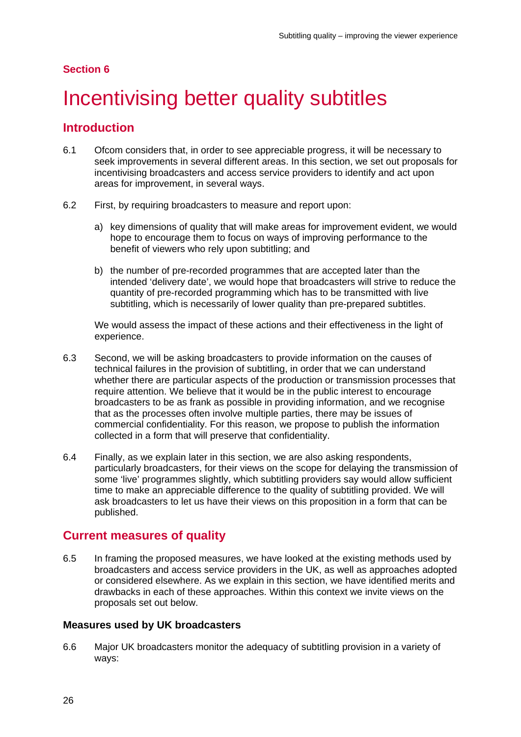#### **Section 6**

# <span id="page-28-0"></span>Incentivising better quality subtitles

### **Introduction**

- 6.1 Ofcom considers that, in order to see appreciable progress, it will be necessary to seek improvements in several different areas. In this section, we set out proposals for incentivising broadcasters and access service providers to identify and act upon areas for improvement, in several ways.
- 6.2 First, by requiring broadcasters to measure and report upon:
	- a) key dimensions of quality that will make areas for improvement evident, we would hope to encourage them to focus on ways of improving performance to the benefit of viewers who rely upon subtitling; and
	- b) the number of pre-recorded programmes that are accepted later than the intended 'delivery date', we would hope that broadcasters will strive to reduce the quantity of pre-recorded programming which has to be transmitted with live subtitling, which is necessarily of lower quality than pre-prepared subtitles.

We would assess the impact of these actions and their effectiveness in the light of experience.

- 6.3 Second, we will be asking broadcasters to provide information on the causes of technical failures in the provision of subtitling, in order that we can understand whether there are particular aspects of the production or transmission processes that require attention. We believe that it would be in the public interest to encourage broadcasters to be as frank as possible in providing information, and we recognise that as the processes often involve multiple parties, there may be issues of commercial confidentiality. For this reason, we propose to publish the information collected in a form that will preserve that confidentiality.
- 6.4 Finally, as we explain later in this section, we are also asking respondents, particularly broadcasters, for their views on the scope for delaying the transmission of some 'live' programmes slightly, which subtitling providers say would allow sufficient time to make an appreciable difference to the quality of subtitling provided. We will ask broadcasters to let us have their views on this proposition in a form that can be published.

### **Current measures of quality**

6.5 In framing the proposed measures, we have looked at the existing methods used by broadcasters and access service providers in the UK, as well as approaches adopted or considered elsewhere. As we explain in this section, we have identified merits and drawbacks in each of these approaches. Within this context we invite views on the proposals set out below.

#### **Measures used by UK broadcasters**

6.6 Major UK broadcasters monitor the adequacy of subtitling provision in a variety of ways: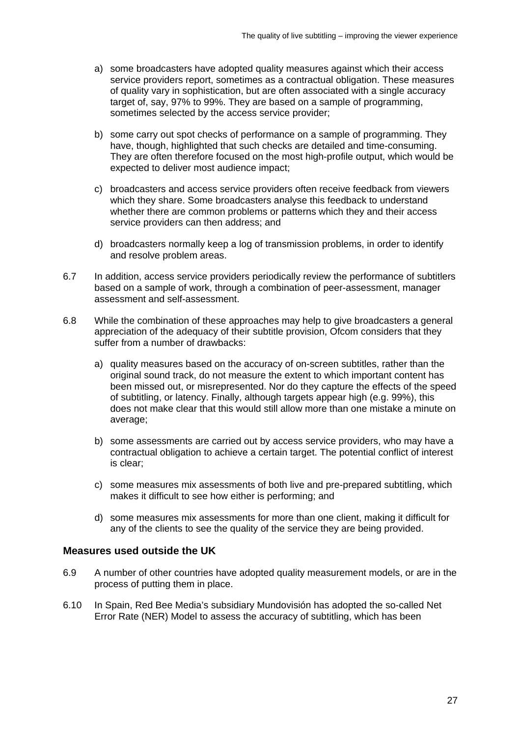- a) some broadcasters have adopted quality measures against which their access service providers report, sometimes as a contractual obligation. These measures of quality vary in sophistication, but are often associated with a single accuracy target of, say, 97% to 99%. They are based on a sample of programming, sometimes selected by the access service provider;
- b) some carry out spot checks of performance on a sample of programming. They have, though, highlighted that such checks are detailed and time-consuming. They are often therefore focused on the most high-profile output, which would be expected to deliver most audience impact;
- c) broadcasters and access service providers often receive feedback from viewers which they share. Some broadcasters analyse this feedback to understand whether there are common problems or patterns which they and their access service providers can then address; and
- d) broadcasters normally keep a log of transmission problems, in order to identify and resolve problem areas.
- 6.7 In addition, access service providers periodically review the performance of subtitlers based on a sample of work, through a combination of peer-assessment, manager assessment and self-assessment.
- 6.8 While the combination of these approaches may help to give broadcasters a general appreciation of the adequacy of their subtitle provision, Ofcom considers that they suffer from a number of drawbacks:
	- a) quality measures based on the accuracy of on-screen subtitles, rather than the original sound track, do not measure the extent to which important content has been missed out, or misrepresented. Nor do they capture the effects of the speed of subtitling, or latency. Finally, although targets appear high (e.g. 99%), this does not make clear that this would still allow more than one mistake a minute on average;
	- b) some assessments are carried out by access service providers, who may have a contractual obligation to achieve a certain target. The potential conflict of interest is clear;
	- c) some measures mix assessments of both live and pre-prepared subtitling, which makes it difficult to see how either is performing; and
	- d) some measures mix assessments for more than one client, making it difficult for any of the clients to see the quality of the service they are being provided.

#### **Measures used outside the UK**

- 6.9 A number of other countries have adopted quality measurement models, or are in the process of putting them in place.
- 6.10 In Spain, Red Bee Media's subsidiary Mundovisión has adopted the so-called Net Error Rate (NER) Model to assess the accuracy of subtitling, which has been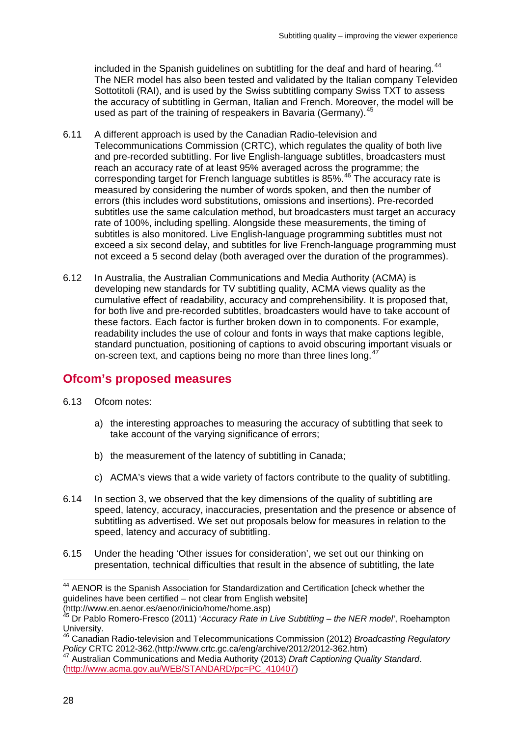included in the Spanish guidelines on subtitling for the deaf and hard of hearing.<sup>[44](#page-30-0)</sup> The NER model has also been tested and validated by the Italian company Televideo Sottotitoli (RAI), and is used by the Swiss subtitling company Swiss TXT to assess the accuracy of subtitling in German, Italian and French. Moreover, the model will be used as part of the training of respeakers in Bavaria (Germany).<sup>[45](#page-30-1)</sup>

- 6.11 A different approach is used by the Canadian Radio-television and Telecommunications Commission (CRTC), which regulates the quality of both live and pre-recorded subtitling. For live English-language subtitles, broadcasters must reach an accuracy rate of at least 95% averaged across the programme; the corresponding target for French language subtitles is 85%.<sup>[46](#page-30-2)</sup> The accuracy rate is measured by considering the number of words spoken, and then the number of errors (this includes word substitutions, omissions and insertions). Pre-recorded subtitles use the same calculation method, but broadcasters must target an accuracy rate of 100%, including spelling. Alongside these measurements, the timing of subtitles is also monitored. Live English-language programming subtitles must not exceed a six second delay, and subtitles for live French-language programming must not exceed a 5 second delay (both averaged over the duration of the programmes).
- 6.12 In Australia, the Australian Communications and Media Authority (ACMA) is developing new standards for TV subtitling quality, ACMA views quality as the cumulative effect of readability, accuracy and comprehensibility. It is proposed that, for both live and pre-recorded subtitles, broadcasters would have to take account of these factors. Each factor is further broken down in to components. For example, readability includes the use of colour and fonts in ways that make captions legible, standard punctuation, positioning of captions to avoid obscuring important visuals or on-screen text, and captions being no more than three lines long.<sup>[47](#page-30-3)</sup>

# **Ofcom's proposed measures**

- 6.13 Ofcom notes:
	- a) the interesting approaches to measuring the accuracy of subtitling that seek to take account of the varying significance of errors;
	- b) the measurement of the latency of subtitling in Canada;
	- c) ACMA's views that a wide variety of factors contribute to the quality of subtitling.
- 6.14 In section 3, we observed that the key dimensions of the quality of subtitling are speed, latency, accuracy, inaccuracies, presentation and the presence or absence of subtitling as advertised. We set out proposals below for measures in relation to the speed, latency and accuracy of subtitling.
- 6.15 Under the heading 'Other issues for consideration', we set out our thinking on presentation, technical difficulties that result in the absence of subtitling, the late

<span id="page-30-0"></span><sup>&</sup>lt;sup>44</sup> AENOR is the Spanish Association for Standardization and Certification [check whether the guidelines have been certified – not clear from English website] (http://www.en.aenor.es/aenor/inicio/home/home.asp)

<span id="page-30-1"></span><sup>45</sup> Dr Pablo Romero-Fresco (2011) '*Accuracy Rate in Live Subtitling – the NER model'*, Roehampton

<span id="page-30-2"></span>University.<br><sup>46</sup> Canadian Radio-television and Telecommunications Commission (2012) *Broadcasting Regulatory*<br>Policy CRTC 2012-362.(http://www.crtc.gc.ca/eng/archive/2012/2012-362.htm)

<span id="page-30-3"></span><sup>&</sup>lt;sup>47</sup> Australian Communications and Media Authority (2013) *Draft Captioning Quality Standard*. [\(http://www.acma.gov.au/WEB/STANDARD/pc=PC\\_410407\)](http://www.acma.gov.au/WEB/STANDARD/pc=PC_410407)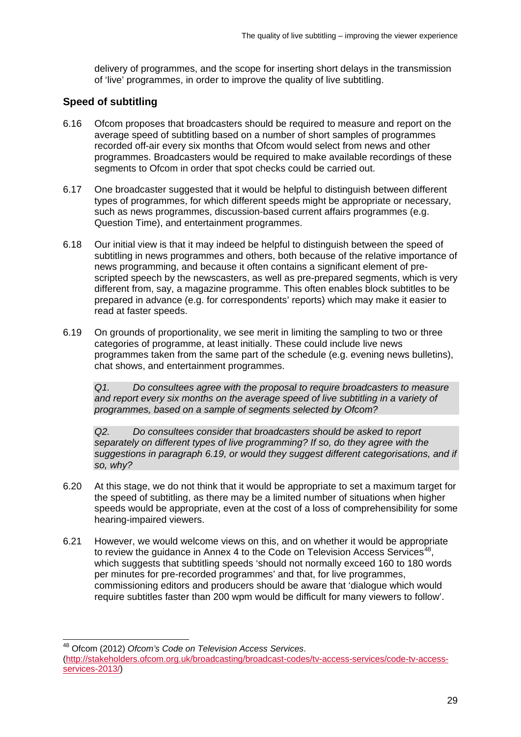delivery of programmes, and the scope for inserting short delays in the transmission of 'live' programmes, in order to improve the quality of live subtitling.

#### **Speed of subtitling**

- 6.16 Ofcom proposes that broadcasters should be required to measure and report on the average speed of subtitling based on a number of short samples of programmes recorded off-air every six months that Ofcom would select from news and other programmes. Broadcasters would be required to make available recordings of these segments to Ofcom in order that spot checks could be carried out.
- 6.17 One broadcaster suggested that it would be helpful to distinguish between different types of programmes, for which different speeds might be appropriate or necessary, such as news programmes, discussion-based current affairs programmes (e.g. Question Time), and entertainment programmes.
- 6.18 Our initial view is that it may indeed be helpful to distinguish between the speed of subtitling in news programmes and others, both because of the relative importance of news programming, and because it often contains a significant element of prescripted speech by the newscasters, as well as pre-prepared segments, which is very different from, say, a magazine programme. This often enables block subtitles to be prepared in advance (e.g. for correspondents' reports) which may make it easier to read at faster speeds.
- 6.19 On grounds of proportionality, we see merit in limiting the sampling to two or three categories of programme, at least initially. These could include live news programmes taken from the same part of the schedule (e.g. evening news bulletins), chat shows, and entertainment programmes.

*Q1. Do consultees agree with the proposal to require broadcasters to measure*  and report every six months on the average speed of live subtitling in a variety of *programmes, based on a sample of segments selected by Ofcom?* 

*Q2. Do consultees consider that broadcasters should be asked to report separately on different types of live programming? If so, do they agree with the suggestions in paragraph 6.19, or would they suggest different categorisations, and if so, why?*

- 6.20 At this stage, we do not think that it would be appropriate to set a maximum target for the speed of subtitling, as there may be a limited number of situations when higher speeds would be appropriate, even at the cost of a loss of comprehensibility for some hearing-impaired viewers.
- 6.21 However, we would welcome views on this, and on whether it would be appropriate to review the guidance in Annex 4 to the Code on Television Access Services<sup>48</sup>, which suggests that subtitling speeds 'should not normally exceed 160 to 180 words per minutes for pre-recorded programmes' and that, for live programmes, commissioning editors and producers should be aware that 'dialogue which would require subtitles faster than 200 wpm would be difficult for many viewers to follow'.

<span id="page-31-0"></span> 48 Ofcom (2012) *Ofcom's Code on Television Access Services*. [\(http://stakeholders.ofcom.org.uk/broadcasting/broadcast-codes/tv-access-services/code-tv-access](http://stakeholders.ofcom.org.uk/broadcasting/broadcast-codes/tv-access-services/code-tv-access-services-2013/)[services-2013/\)](http://stakeholders.ofcom.org.uk/broadcasting/broadcast-codes/tv-access-services/code-tv-access-services-2013/)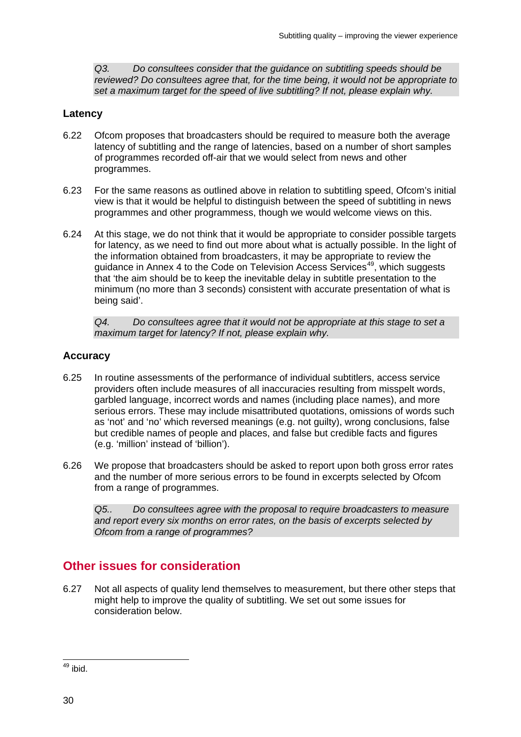*Q3. Do consultees consider that the guidance on subtitling speeds should be reviewed? Do consultees agree that, for the time being, it would not be appropriate to set a maximum target for the speed of live subtitling? If not, please explain why.*

#### **Latency**

- 6.22 Ofcom proposes that broadcasters should be required to measure both the average latency of subtitling and the range of latencies, based on a number of short samples of programmes recorded off-air that we would select from news and other programmes.
- 6.23 For the same reasons as outlined above in relation to subtitling speed, Ofcom's initial view is that it would be helpful to distinguish between the speed of subtitling in news programmes and other programmess, though we would welcome views on this.
- 6.24 At this stage, we do not think that it would be appropriate to consider possible targets for latency, as we need to find out more about what is actually possible. In the light of the information obtained from broadcasters, it may be appropriate to review the guidance in Annex 4 to the Code on Television Access Services<sup>49</sup>, which suggests that 'the aim should be to keep the inevitable delay in subtitle presentation to the minimum (no more than 3 seconds) consistent with accurate presentation of what is being said'.

*Q4. Do consultees agree that it would not be appropriate at this stage to set a maximum target for latency? If not, please explain why.*

#### **Accuracy**

- 6.25 In routine assessments of the performance of individual subtitlers, access service providers often include measures of all inaccuracies resulting from misspelt words, garbled language, incorrect words and names (including place names), and more serious errors. These may include misattributed quotations, omissions of words such as 'not' and 'no' which reversed meanings (e.g. not guilty), wrong conclusions, false but credible names of people and places, and false but credible facts and figures (e.g. 'million' instead of 'billion').
- 6.26 We propose that broadcasters should be asked to report upon both gross error rates and the number of more serious errors to be found in excerpts selected by Ofcom from a range of programmes.

*Q5.. Do consultees agree with the proposal to require broadcasters to measure and report every six months on error rates, on the basis of excerpts selected by Ofcom from a range of programmes?* 

# **Other issues for consideration**

6.27 Not all aspects of quality lend themselves to measurement, but there other steps that might help to improve the quality of subtitling. We set out some issues for consideration below.

<span id="page-32-0"></span> $49$  ibid.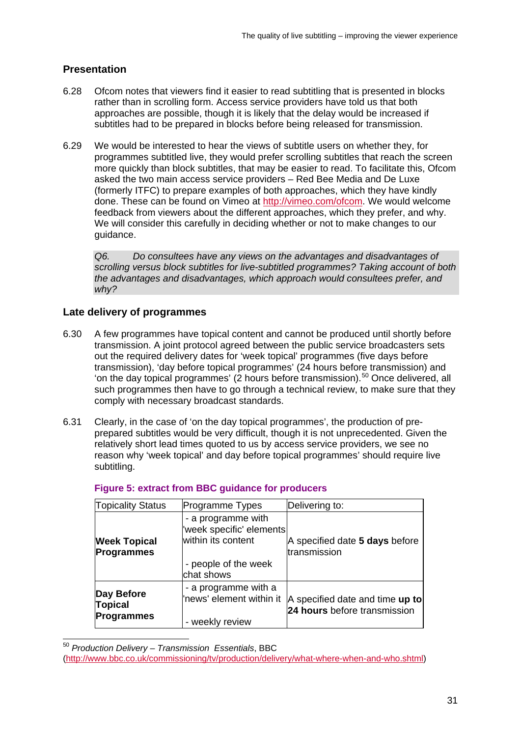### **Presentation**

- 6.28 Ofcom notes that viewers find it easier to read subtitling that is presented in blocks rather than in scrolling form. Access service providers have told us that both approaches are possible, though it is likely that the delay would be increased if subtitles had to be prepared in blocks before being released for transmission.
- 6.29 We would be interested to hear the views of subtitle users on whether they, for programmes subtitled live, they would prefer scrolling subtitles that reach the screen more quickly than block subtitles, that may be easier to read. To facilitate this, Ofcom asked the two main access service providers – Red Bee Media and De Luxe (formerly ITFC) to prepare examples of both approaches, which they have kindly done. These can be found on Vimeo at [http://vimeo.com/ofcom.](http://vimeo.com/ofcom) We would welcome feedback from viewers about the different approaches, which they prefer, and why. We will consider this carefully in deciding whether or not to make changes to our guidance.

*Q6. Do consultees have any views on the advantages and disadvantages of scrolling versus block subtitles for live-subtitled programmes? Taking account of both the advantages and disadvantages, which approach would consultees prefer, and why?*

#### **Late delivery of programmes**

- 6.30 A few programmes have topical content and cannot be produced until shortly before transmission. A joint protocol agreed between the public service broadcasters sets out the required delivery dates for 'week topical' programmes (five days before transmission), 'day before topical programmes' (24 hours before transmission) and 'on the day topical programmes' (2 hours before transmission).[50](#page-33-0) Once delivered, all such programmes then have to go through a technical review, to make sure that they comply with necessary broadcast standards.
- 6.31 Clearly, in the case of 'on the day topical programmes', the production of preprepared subtitles would be very difficult, though it is not unprecedented. Given the relatively short lead times quoted to us by access service providers, we see no reason why 'week topical' and day before topical programmes' should require live subtitling.

| <b>Topicality Status</b>                          | Programme Types                                                                                            | Delivering to:                                                  |
|---------------------------------------------------|------------------------------------------------------------------------------------------------------------|-----------------------------------------------------------------|
| <b>Week Topical</b><br><b>Programmes</b>          | - a programme with<br>'week specific' elements<br>within its content<br>- people of the week<br>chat shows | A specified date 5 days before<br>transmission                  |
| Day Before<br><b>Topical</b><br><b>Programmes</b> | - a programme with a<br>'news' element within it<br>- weekly review                                        | A specified date and time up to<br>24 hours before transmission |

#### **Figure 5: extract from BBC guidance for producers**

<span id="page-33-0"></span> <sup>50</sup> *Production Delivery – Transmission Essentials*, BBC

[<sup>\(</sup>http://www.bbc.co.uk/commissioning/tv/production/delivery/what-where-when-and-who.shtml\)](http://www.bbc.co.uk/commissioning/tv/production/delivery/what-where-when-and-who.shtml)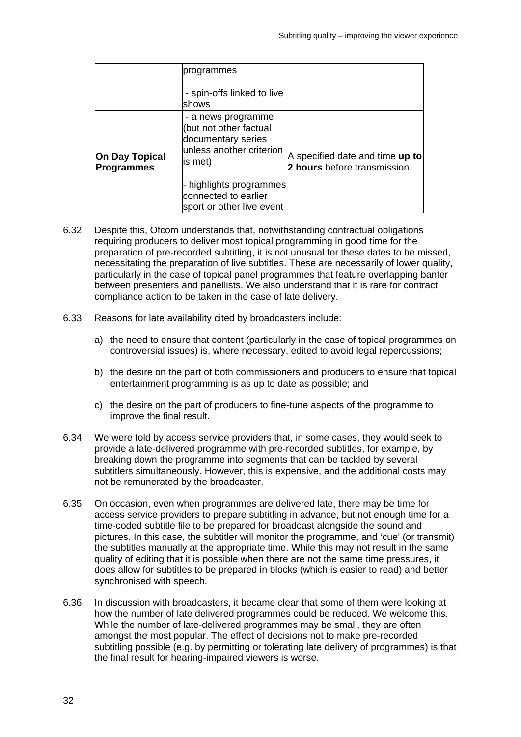|                                     | programmes<br>- spin-offs linked to live<br><b>Ishows</b>                                                 |                                                                |
|-------------------------------------|-----------------------------------------------------------------------------------------------------------|----------------------------------------------------------------|
| On Day Topical<br><b>Programmes</b> | - a news programme<br>(but not other factual<br>documentary series<br>unless another criterion<br>is met) | A specified date and time up to<br>2 hours before transmission |
|                                     | highlights programmes<br>connected to earlier<br>sport or other live event                                |                                                                |

- 6.32 Despite this, Ofcom understands that, notwithstanding contractual obligations requiring producers to deliver most topical programming in good time for the preparation of pre-recorded subtitling, it is not unusual for these dates to be missed, necessitating the preparation of live subtitles. These are necessarily of lower quality, particularly in the case of topical panel programmes that feature overlapping banter between presenters and panellists. We also understand that it is rare for contract compliance action to be taken in the case of late delivery.
- 6.33 Reasons for late availability cited by broadcasters include:
	- a) the need to ensure that content (particularly in the case of topical programmes on controversial issues) is, where necessary, edited to avoid legal repercussions;
	- b) the desire on the part of both commissioners and producers to ensure that topical entertainment programming is as up to date as possible; and
	- c) the desire on the part of producers to fine-tune aspects of the programme to improve the final result.
- 6.34 We were told by access service providers that, in some cases, they would seek to provide a late-delivered programme with pre-recorded subtitles, for example, by breaking down the programme into segments that can be tackled by several subtitlers simultaneously. However, this is expensive, and the additional costs may not be remunerated by the broadcaster.
- 6.35 On occasion, even when programmes are delivered late, there may be time for access service providers to prepare subtitling in advance, but not enough time for a time-coded subtitle file to be prepared for broadcast alongside the sound and pictures. In this case, the subtitler will monitor the programme, and 'cue' (or transmit) the subtitles manually at the appropriate time. While this may not result in the same quality of editing that it is possible when there are not the same time pressures, it does allow for subtitles to be prepared in blocks (which is easier to read) and better synchronised with speech.
- 6.36 In discussion with broadcasters, it became clear that some of them were looking at how the number of late delivered programmes could be reduced. We welcome this. While the number of late-delivered programmes may be small, they are often amongst the most popular. The effect of decisions not to make pre-recorded subtitling possible (e.g. by permitting or tolerating late delivery of programmes) is that the final result for hearing-impaired viewers is worse.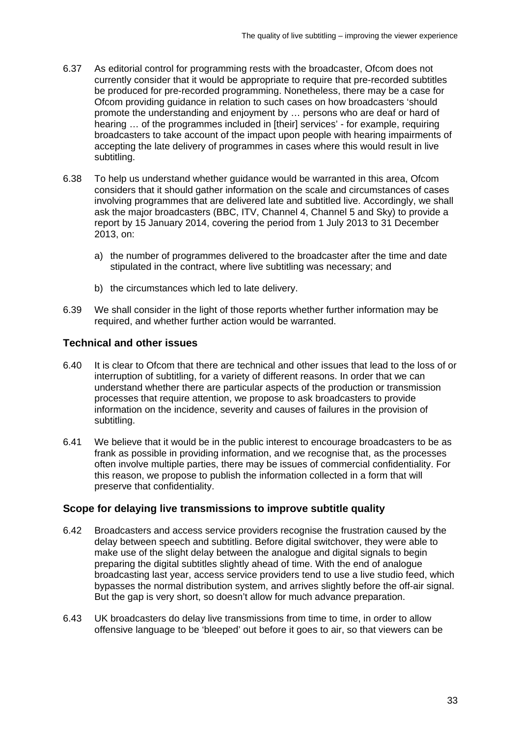- 6.37 As editorial control for programming rests with the broadcaster, Ofcom does not currently consider that it would be appropriate to require that pre-recorded subtitles be produced for pre-recorded programming. Nonetheless, there may be a case for Ofcom providing guidance in relation to such cases on how broadcasters 'should promote the understanding and enjoyment by … persons who are deaf or hard of hearing … of the programmes included in [their] services' - for example, requiring broadcasters to take account of the impact upon people with hearing impairments of accepting the late delivery of programmes in cases where this would result in live subtitling.
- 6.38 To help us understand whether guidance would be warranted in this area, Ofcom considers that it should gather information on the scale and circumstances of cases involving programmes that are delivered late and subtitled live. Accordingly, we shall ask the major broadcasters (BBC, ITV, Channel 4, Channel 5 and Sky) to provide a report by 15 January 2014, covering the period from 1 July 2013 to 31 December 2013, on:
	- a) the number of programmes delivered to the broadcaster after the time and date stipulated in the contract, where live subtitling was necessary; and
	- b) the circumstances which led to late delivery.
- 6.39 We shall consider in the light of those reports whether further information may be required, and whether further action would be warranted.

#### **Technical and other issues**

- 6.40 It is clear to Ofcom that there are technical and other issues that lead to the loss of or interruption of subtitling, for a variety of different reasons. In order that we can understand whether there are particular aspects of the production or transmission processes that require attention, we propose to ask broadcasters to provide information on the incidence, severity and causes of failures in the provision of subtitling.
- 6.41 We believe that it would be in the public interest to encourage broadcasters to be as frank as possible in providing information, and we recognise that, as the processes often involve multiple parties, there may be issues of commercial confidentiality. For this reason, we propose to publish the information collected in a form that will preserve that confidentiality.

#### **Scope for delaying live transmissions to improve subtitle quality**

- 6.42 Broadcasters and access service providers recognise the frustration caused by the delay between speech and subtitling. Before digital switchover, they were able to make use of the slight delay between the analogue and digital signals to begin preparing the digital subtitles slightly ahead of time. With the end of analogue broadcasting last year, access service providers tend to use a live studio feed, which bypasses the normal distribution system, and arrives slightly before the off-air signal. But the gap is very short, so doesn't allow for much advance preparation.
- 6.43 UK broadcasters do delay live transmissions from time to time, in order to allow offensive language to be 'bleeped' out before it goes to air, so that viewers can be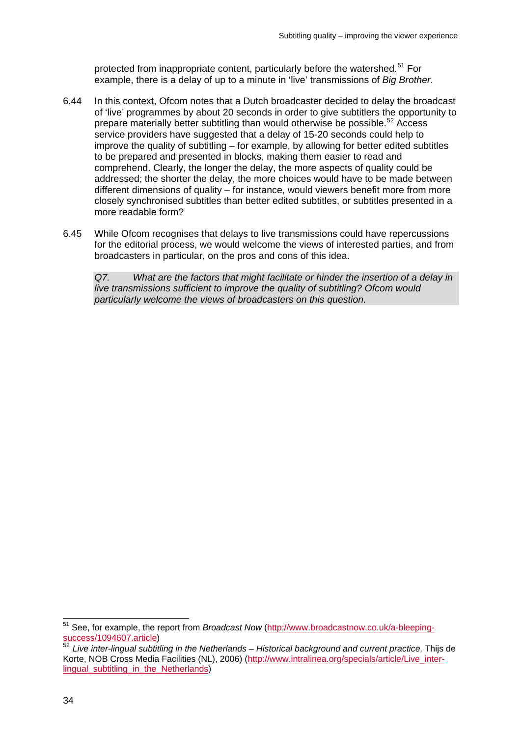protected from inappropriate content, particularly before the watershed.<sup>[51](#page-36-0)</sup> For example, there is a delay of up to a minute in 'live' transmissions of *Big Brother*.

- 6.44 In this context, Ofcom notes that a Dutch broadcaster decided to delay the broadcast of 'live' programmes by about 20 seconds in order to give subtitlers the opportunity to prepare materially better subtitling than would otherwise be possible.<sup>[52](#page-36-1)</sup> Access service providers have suggested that a delay of 15-20 seconds could help to improve the quality of subtitling – for example, by allowing for better edited subtitles to be prepared and presented in blocks, making them easier to read and comprehend. Clearly, the longer the delay, the more aspects of quality could be addressed; the shorter the delay, the more choices would have to be made between different dimensions of quality – for instance, would viewers benefit more from more closely synchronised subtitles than better edited subtitles, or subtitles presented in a more readable form?
- 6.45 While Ofcom recognises that delays to live transmissions could have repercussions for the editorial process, we would welcome the views of interested parties, and from broadcasters in particular, on the pros and cons of this idea.

*Q7. What are the factors that might facilitate or hinder the insertion of a delay in live transmissions sufficient to improve the quality of subtitling? Ofcom would particularly welcome the views of broadcasters on this question.*

<span id="page-36-0"></span> <sup>51</sup> See, for example, the report from *Broadcast Now* [\(http://www.broadcastnow.co.uk/a-bleeping](http://www.broadcastnow.co.uk/a-bleeping-success/1094607.article)[success/1094607.article\)](http://www.broadcastnow.co.uk/a-bleeping-success/1094607.article)

<span id="page-36-1"></span><sup>52</sup> *Live inter-lingual subtitling in the Netherlands – Historical background and current practice,* Thijs de Korte, NOB Cross Media Facilities (NL), 2006) [\(http://www.intralinea.org/specials/article/Live\\_inter](http://www.intralinea.org/specials/article/Live_inter-lingual_subtitling_in_the_Netherlands)[lingual\\_subtitling\\_in\\_the\\_Netherlands\)](http://www.intralinea.org/specials/article/Live_inter-lingual_subtitling_in_the_Netherlands)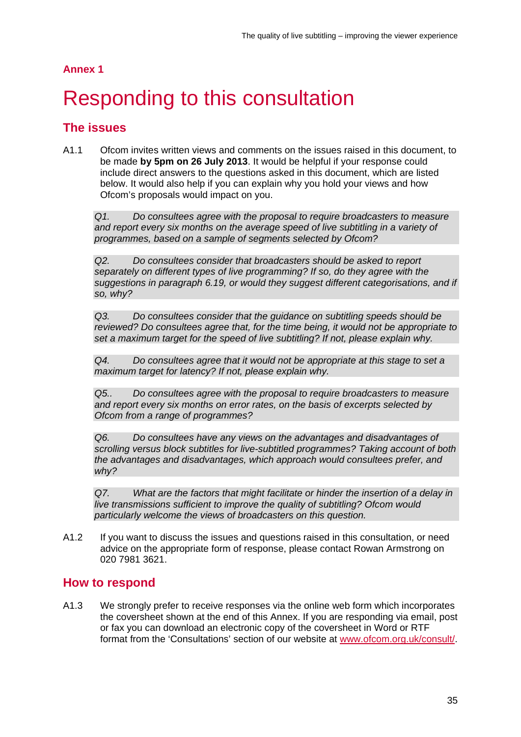#### **Annex 1**

# <span id="page-37-0"></span>**Responding to this consultation**

## **The issues**

A1.1 Ofcom invites written views and comments on the issues raised in this document, to be made **by 5pm on 26 July 2013**. It would be helpful if your response could include direct answers to the questions asked in this document, which are listed below. It would also help if you can explain why you hold your views and how Ofcom's proposals would impact on you.

*Q1. Do consultees agree with the proposal to require broadcasters to measure*  and report every six months on the average speed of live subtitling in a variety of *programmes, based on a sample of segments selected by Ofcom?* 

*Q2. Do consultees consider that broadcasters should be asked to report separately on different types of live programming? If so, do they agree with the suggestions in paragraph 6.19, or would they suggest different categorisations, and if so, why?*

*Q3. Do consultees consider that the guidance on subtitling speeds should be reviewed? Do consultees agree that, for the time being, it would not be appropriate to set a maximum target for the speed of live subtitling? If not, please explain why.*

*Q4. Do consultees agree that it would not be appropriate at this stage to set a maximum target for latency? If not, please explain why.*

*Q5.. Do consultees agree with the proposal to require broadcasters to measure and report every six months on error rates, on the basis of excerpts selected by Ofcom from a range of programmes?* 

*Q6. Do consultees have any views on the advantages and disadvantages of scrolling versus block subtitles for live-subtitled programmes? Taking account of both the advantages and disadvantages, which approach would consultees prefer, and why?*

*Q7. What are the factors that might facilitate or hinder the insertion of a delay in live transmissions sufficient to improve the quality of subtitling? Ofcom would particularly welcome the views of broadcasters on this question.* 

A1.2 If you want to discuss the issues and questions raised in this consultation, or need advice on the appropriate form of response, please contact Rowan Armstrong on 020 7981 3621.

### **How to respond**

A1.3 We strongly prefer to receive responses via the online web form which incorporates the coversheet shown at the end of this Annex. If you are responding via email, post or fax you can download an electronic copy of the coversheet in Word or RTF format from the 'Consultations' section of our website at [www.ofcom.org.uk/consult/.](http://www.ofcom.org.uk/consult/)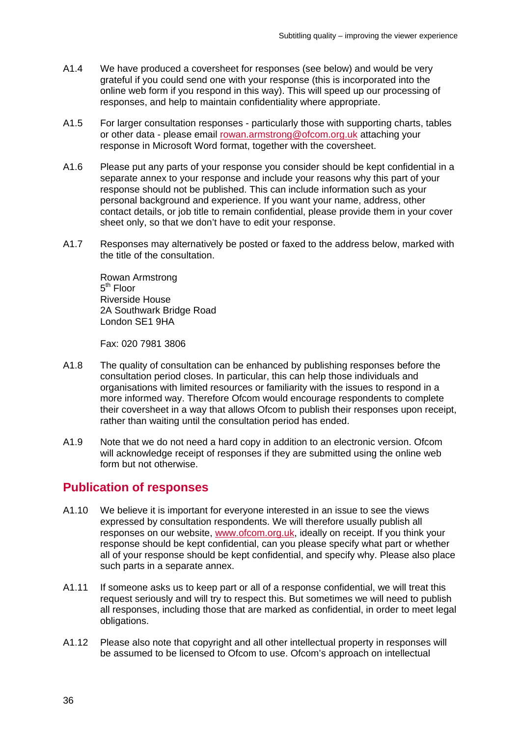- A1.4 We have produced a coversheet for responses (see below) and would be very grateful if you could send one with your response (this is incorporated into the online web form if you respond in this way). This will speed up our processing of responses, and help to maintain confidentiality where appropriate.
- A1.5 For larger consultation responses particularly those with supporting charts, tables or other data - please email [rowan.armstrong@ofcom.org.uk](mailto:rowan.armstrong@ofcom.org.uk) attaching your response in Microsoft Word format, together with the coversheet.
- A1.6 Please put any parts of your response you consider should be kept confidential in a separate annex to your response and include your reasons why this part of your response should not be published. This can include information such as your personal background and experience. If you want your name, address, other contact details, or job title to remain confidential, please provide them in your cover sheet only, so that we don't have to edit your response.
- A1.7 Responses may alternatively be posted or faxed to the address below, marked with the title of the consultation.

Rowan Armstrong  $5<sup>th</sup>$  Floor Riverside House 2A Southwark Bridge Road London SE1 9HA

Fax: 020 7981 3806

- A1.8 The quality of consultation can be enhanced by publishing responses before the consultation period closes. In particular, this can help those individuals and organisations with limited resources or familiarity with the issues to respond in a more informed way. Therefore Ofcom would encourage respondents to complete their coversheet in a way that allows Ofcom to publish their responses upon receipt, rather than waiting until the consultation period has ended.
- A1.9 Note that we do not need a hard copy in addition to an electronic version. Ofcom will acknowledge receipt of responses if they are submitted using the online web form but not otherwise.

### **Publication of responses**

- A1.10 We believe it is important for everyone interested in an issue to see the views expressed by consultation respondents. We will therefore usually publish all responses on our website, [www.ofcom.org.uk,](http://www.ofcom.org.uk/) ideally on receipt. If you think your response should be kept confidential, can you please specify what part or whether all of your response should be kept confidential, and specify why. Please also place such parts in a separate annex.
- A1.11 If someone asks us to keep part or all of a response confidential, we will treat this request seriously and will try to respect this. But sometimes we will need to publish all responses, including those that are marked as confidential, in order to meet legal obligations.
- A1.12 Please also note that copyright and all other intellectual property in responses will be assumed to be licensed to Ofcom to use. Ofcom's approach on intellectual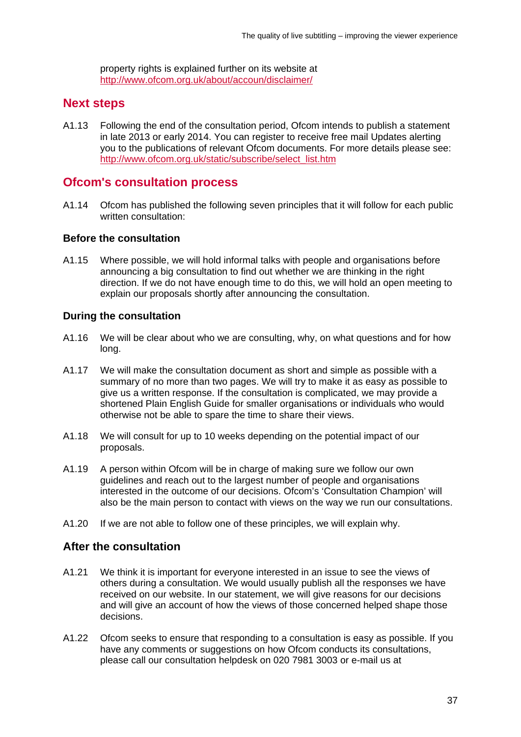property rights is explained further on its website at <http://www.ofcom.org.uk/about/accoun/disclaimer/>

## **Next steps**

A1.13 Following the end of the consultation period, Ofcom intends to publish a statement in late 2013 or early 2014. You can register to receive free mail Updates alerting you to the publications of relevant Ofcom documents. For more details please see: [http://www.ofcom.org.uk/static/subscribe/select\\_list.htm](http://www.ofcom.org.uk/static/subscribe/select_list.htm)

### **Ofcom's consultation process**

A1.14 Ofcom has published the following seven principles that it will follow for each public written consultation:

#### **Before the consultation**

A1.15 Where possible, we will hold informal talks with people and organisations before announcing a big consultation to find out whether we are thinking in the right direction. If we do not have enough time to do this, we will hold an open meeting to explain our proposals shortly after announcing the consultation.

#### **During the consultation**

- A1.16 We will be clear about who we are consulting, why, on what questions and for how long.
- A1.17 We will make the consultation document as short and simple as possible with a summary of no more than two pages. We will try to make it as easy as possible to give us a written response. If the consultation is complicated, we may provide a shortened Plain English Guide for smaller organisations or individuals who would otherwise not be able to spare the time to share their views.
- A1.18 We will consult for up to 10 weeks depending on the potential impact of our proposals.
- A1.19 A person within Ofcom will be in charge of making sure we follow our own guidelines and reach out to the largest number of people and organisations interested in the outcome of our decisions. Ofcom's 'Consultation Champion' will also be the main person to contact with views on the way we run our consultations.
- A1.20 If we are not able to follow one of these principles, we will explain why.

### **After the consultation**

- A1.21 We think it is important for everyone interested in an issue to see the views of others during a consultation. We would usually publish all the responses we have received on our website. In our statement, we will give reasons for our decisions and will give an account of how the views of those concerned helped shape those decisions.
- A1.22 Ofcom seeks to ensure that responding to a consultation is easy as possible. If you have any comments or suggestions on how Ofcom conducts its consultations, please call our consultation helpdesk on 020 7981 3003 or e-mail us at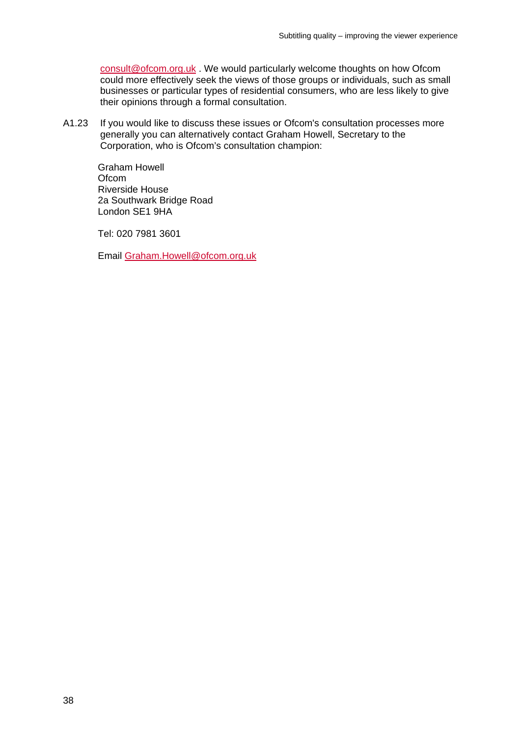[consult@ofcom.org.uk](mailto:consult@ofcom.org.uk) . We would particularly welcome thoughts on how Ofcom could more effectively seek the views of those groups or individuals, such as small businesses or particular types of residential consumers, who are less likely to give their opinions through a formal consultation.

A1.23 If you would like to discuss these issues or Ofcom's consultation processes more generally you can alternatively contact Graham Howell, Secretary to the Corporation, who is Ofcom's consultation champion:

Graham Howell **Ofcom** Riverside House 2a Southwark Bridge Road London SE1 9HA

Tel: 020 7981 3601

Email [Graham.Howell@ofcom.org.uk](mailto:Graham.Howell@ofcom.org.uk)